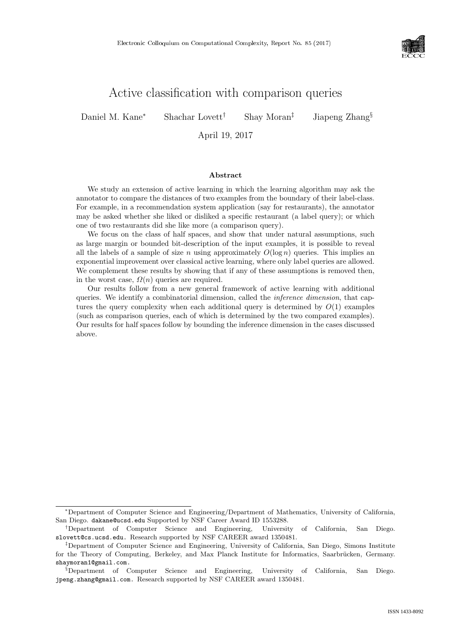

# Active classification with comparison queries

Daniel M. Kane<sup>∗</sup> Shachar Lovett† Shay Moran‡ Jiapeng Zhang§

April 19, 2017

### Abstract

We study an extension of active learning in which the learning algorithm may ask the annotator to compare the distances of two examples from the boundary of their label-class. For example, in a recommendation system application (say for restaurants), the annotator may be asked whether she liked or disliked a specific restaurant (a label query); or which one of two restaurants did she like more (a comparison query).

We focus on the class of half spaces, and show that under natural assumptions, such as large margin or bounded bit-description of the input examples, it is possible to reveal all the labels of a sample of size n using approximately  $O(\log n)$  queries. This implies an exponential improvement over classical active learning, where only label queries are allowed. We complement these results by showing that if any of these assumptions is removed then, in the worst case,  $\Omega(n)$  queries are required.

Our results follow from a new general framework of active learning with additional queries. We identify a combinatorial dimension, called the inference dimension, that captures the query complexity when each additional query is determined by  $O(1)$  examples (such as comparison queries, each of which is determined by the two compared examples). Our results for half spaces follow by bounding the inference dimension in the cases discussed above.

<sup>∗</sup>Department of Computer Science and Engineering/Department of Mathematics, University of California, San Diego. dakane@ucsd.edu Supported by NSF Career Award ID 1553288.

<sup>†</sup>Department of Computer Science and Engineering, University of California, San Diego. slovett@cs.ucsd.edu. Research supported by NSF CAREER award 1350481.

<sup>‡</sup>Department of Computer Science and Engineering, University of California, San Diego, Simons Institute for the Theory of Computing, Berkeley, and Max Planck Institute for Informatics, Saarbrücken, Germany. shaymoran1@gmail.com.

<sup>§</sup>Department of Computer Science and Engineering, University of California, San Diego. jpeng.zhang@gmail.com. Research supported by NSF CAREER award 1350481.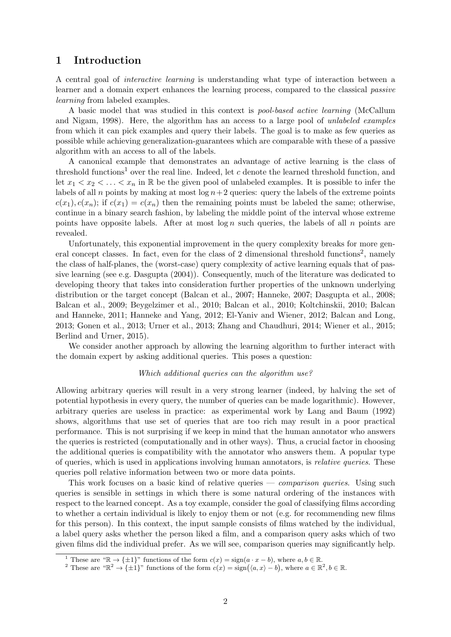### 1 Introduction

A central goal of interactive learning is understanding what type of interaction between a learner and a domain expert enhances the learning process, compared to the classical passive learning from labeled examples.

A basic model that was studied in this context is pool-based active learning [\(McCallum](#page-26-0) [and Nigam,](#page-26-0) [1998\)](#page-26-0). Here, the algorithm has an access to a large pool of unlabeled examples from which it can pick examples and query their labels. The goal is to make as few queries as possible while achieving generalization-guarantees which are comparable with these of a passive algorithm with an access to all of the labels.

A canonical example that demonstrates an advantage of active learning is the class of threshold functions<sup>[1](#page-1-0)</sup> over the real line. Indeed, let  $c$  denote the learned threshold function, and let  $x_1 < x_2 < \ldots < x_n$  in R be the given pool of unlabeled examples. It is possible to infer the labels of all  $n$  points by making at most  $\log n + 2$  queries: query the labels of the extreme points  $c(x_1), c(x_n)$ ; if  $c(x_1) = c(x_n)$  then the remaining points must be labeled the same; otherwise, continue in a binary search fashion, by labeling the middle point of the interval whose extreme points have opposite labels. After at most  $\log n$  such queries, the labels of all n points are revealed.

Unfortunately, this exponential improvement in the query complexity breaks for more gen-eral concept classes. In fact, even for the class of [2](#page-1-1) dimensional threshold functions<sup>2</sup>, namely the class of half-planes, the (worst-case) query complexity of active learning equals that of passive learning (see e.g. [Dasgupta](#page-24-0) [\(2004\)](#page-24-0)). Consequently, much of the literature was dedicated to developing theory that takes into consideration further properties of the unknown underlying distribution or the target concept [\(Balcan et al.,](#page-23-0) [2007;](#page-25-0) [Hanneke,](#page-25-0) 2007; [Dasgupta et al.,](#page-24-1) [2008;](#page-24-1) [Balcan et al.,](#page-23-1) [2009;](#page-23-1) [Beygelzimer et al.,](#page-24-2) [2010;](#page-24-2) [Balcan et al.,](#page-23-2) [2010;](#page-23-2) [Koltchinskii,](#page-26-1) [2010;](#page-26-1) [Balcan](#page-23-3) [and Hanneke,](#page-23-3) [2011;](#page-23-3) [Hanneke and Yang,](#page-25-1) [2012;](#page-25-1) [El-Yaniv and Wiener,](#page-24-3) [2012;](#page-24-3) [Balcan and Long,](#page-23-4) [2013;](#page-23-4) [Gonen et al.,](#page-25-2) [2013;](#page-25-2) [Urner et al.,](#page--1-0) [2013;](#page--1-0) [Zhang and Chaudhuri,](#page--1-1) [2014;](#page--1-1) [Wiener et al.,](#page--1-2) [2015;](#page--1-2) [Berlind and Urner,](#page-23-5) [2015\)](#page-23-5).

We consider another approach by allowing the learning algorithm to further interact with the domain expert by asking additional queries. This poses a question:

### Which additional queries can the algorithm use?

Allowing arbitrary queries will result in a very strong learner (indeed, by halving the set of potential hypothesis in every query, the number of queries can be made logarithmic). However, arbitrary queries are useless in practice: as experimental work by [Lang and Baum](#page-26-2) [\(1992\)](#page-26-2) shows, algorithms that use set of queries that are too rich may result in a poor practical performance. This is not surprising if we keep in mind that the human annotator who answers the queries is restricted (computationally and in other ways). Thus, a crucial factor in choosing the additional queries is compatibility with the annotator who answers them. A popular type of queries, which is used in applications involving human annotators, is relative queries. These queries poll relative information between two or more data points.

This work focuses on a basic kind of relative queries — *comparison queries*. Using such queries is sensible in settings in which there is some natural ordering of the instances with respect to the learned concept. As a toy example, consider the goal of classifying films according to whether a certain individual is likely to enjoy them or not (e.g. for recommending new films for this person). In this context, the input sample consists of films watched by the individual, a label query asks whether the person liked a film, and a comparison query asks which of two given films did the individual prefer. As we will see, comparison queries may significantly help.

<span id="page-1-0"></span><sup>&</sup>lt;sup>1</sup> These are " $\mathbb{R} \to {\pm 1}$ " functions of the form  $c(x) = sign(a \cdot x - b)$ , where  $a, b \in \mathbb{R}$ .

<span id="page-1-1"></span><sup>&</sup>lt;sup>2</sup> These are " $\mathbb{R}^2 \to {\pm 1}$ " functions of the form  $c(x) = \text{sign}(\langle a, x \rangle - b)$ , where  $a \in \mathbb{R}^2, b \in \mathbb{R}$ .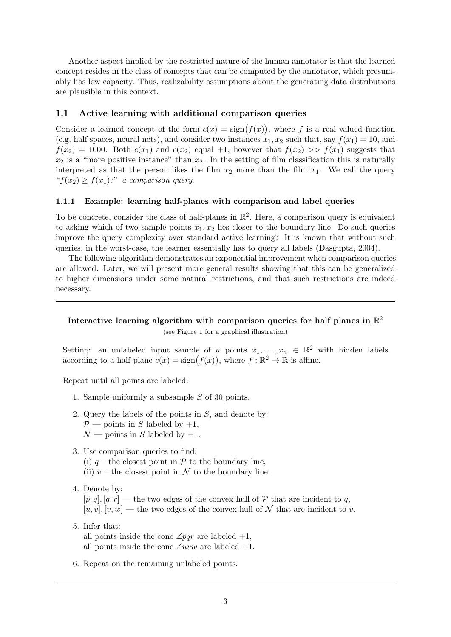Another aspect implied by the restricted nature of the human annotator is that the learned concept resides in the class of concepts that can be computed by the annotator, which presumably has low capacity. Thus, realizability assumptions about the generating data distributions are plausible in this context.

### 1.1 Active learning with additional comparison queries

Consider a learned concept of the form  $c(x) = \text{sign}(f(x))$ , where f is a real valued function (e.g. half spaces, neural nets), and consider two instances  $x_1, x_2$  such that, say  $f(x_1) = 10$ , and  $f(x_2) = 1000$ . Both  $c(x_1)$  and  $c(x_2)$  equal +1, however that  $f(x_2) >> f(x_1)$  suggests that  $x_2$  is a "more positive instance" than  $x_2$ . In the setting of film classification this is naturally interpreted as that the person likes the film  $x_2$  more than the film  $x_1$ . We call the query " $f(x_2) > f(x_1)$ ?" a comparison query.

### <span id="page-2-0"></span>1.1.1 Example: learning half-planes with comparison and label queries

To be concrete, consider the class of half-planes in  $\mathbb{R}^2$ . Here, a comparison query is equivalent to asking which of two sample points  $x_1, x_2$  lies closer to the boundary line. Do such queries improve the query complexity over standard active learning? It is known that without such queries, in the worst-case, the learner essentially has to query all labels [\(Dasgupta,](#page-24-0) [2004\)](#page-24-0).

The following algorithm demonstrates an exponential improvement when comparison queries are allowed. Later, we will present more general results showing that this can be generalized to higher dimensions under some natural restrictions, and that such restrictions are indeed necessary.

## Interactive learning algorithm with comparison queries for half planes in  $\mathbb{R}^2$ (see Figure [1](#page-3-0) for a graphical illustration)

Setting: an unlabeled input sample of n points  $x_1, \ldots, x_n \in \mathbb{R}^2$  with hidden labels according to a half-plane  $c(x) = \text{sign}(f(x))$ , where  $f : \mathbb{R}^2 \to \mathbb{R}$  is affine.

Repeat until all points are labeled:

- 1. Sample uniformly a subsample S of 30 points.
- 2. Query the labels of the points in S, and denote by:  $\mathcal{P}$  — points in S labeled by +1,  $\mathcal{N}$  — points in S labeled by -1.
- 3. Use comparison queries to find:
	- (i)  $q$  the closest point in  $P$  to the boundary line,
	- (ii)  $v$  the closest point in  $\mathcal N$  to the boundary line.
- 4. Denote by:

 $[p, q], [q, r]$  — the two edges of the convex hull of  $P$  that are incident to q,  $[u, v], [v, w]$  — the two edges of the convex hull of N that are incident to v.

5. Infer that:

all points inside the cone  $\angle pqr$  are labeled +1, all points inside the cone  $\angle uvw$  are labeled -1.

6. Repeat on the remaining unlabeled points.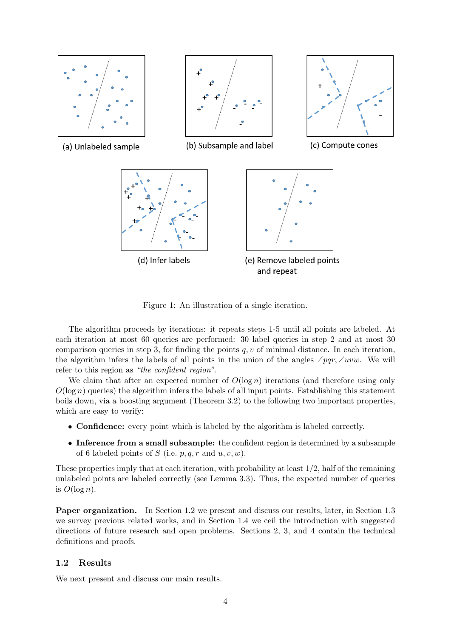

<span id="page-3-0"></span>Figure 1: An illustration of a single iteration.

The algorithm proceeds by iterations: it repeats steps 1-5 until all points are labeled. At each iteration at most 60 queries are performed: 30 label queries in step 2 and at most 30 comparison queries in step 3, for finding the points  $q, v$  of minimal distance. In each iteration, the algorithm infers the labels of all points in the union of the angles  $\angle pqr, \angle uvw$ . We will refer to this region as "the confident region".

We claim that after an expected number of  $O(\log n)$  iterations (and therefore using only  $O(\log n)$  queries) the algorithm infers the labels of all input points. Establishing this statement boils down, via a boosting argument (Theorem [3.2\)](#page-13-0) to the following two important properties, which are easy to verify:

- Confidence: every point which is labeled by the algorithm is labeled correctly.
- Inference from a small subsample: the confident region is determined by a subsample of 6 labeled points of S (i.e.  $p, q, r$  and  $u, v, w$ ).

These properties imply that at each iteration, with probability at least  $1/2$ , half of the remaining unlabeled points are labeled correctly (see Lemma [3.3\)](#page-13-1). Thus, the expected number of queries is  $O(\log n)$ .

Paper organization. In Section [1.2](#page-3-1) we present and discuss our results, later, in Section [1.3](#page-8-0) we survey previous related works, and in Section [1.4](#page-9-0) we ceil the introduction with suggested directions of future research and open problems. Sections [2,](#page-11-0) [3,](#page-13-2) and [4](#page-16-0) contain the technical definitions and proofs.

### <span id="page-3-1"></span>1.2 Results

We next present and discuss our main results.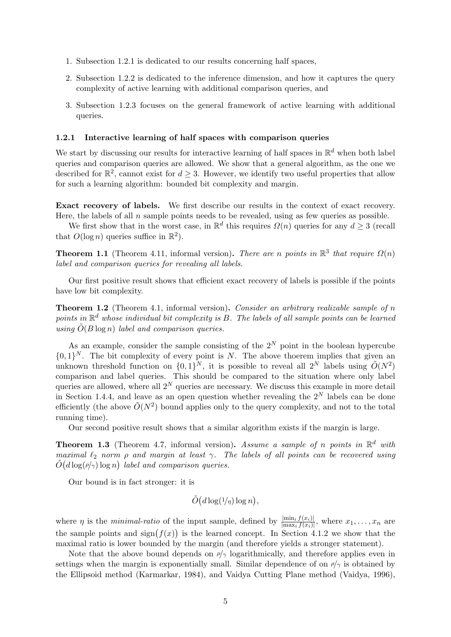- 1. Subsection [1.2.1](#page-4-0) is dedicated to our results concerning half spaces,
- 2. Subsection [1.2.2](#page-5-0) is dedicated to the inference dimension, and how it captures the query complexity of active learning with additional comparison queries, and
- 3. Subsection [1.2.3](#page-7-0) focuses on the general framework of active learning with additional queries.

### <span id="page-4-0"></span>1.2.1 Interactive learning of half spaces with comparison queries

We start by discussing our results for interactive learning of half spaces in  $\mathbb{R}^d$  when both label queries and comparison queries are allowed. We show that a general algorithm, as the one we described for  $\mathbb{R}^2$ , cannot exist for  $d \geq 3$ . However, we identify two useful properties that allow for such a learning algorithm: bounded bit complexity and margin.

Exact recovery of labels. We first describe our results in the context of exact recovery. Here, the labels of all  $n$  sample points needs to be revealed, using as few queries as possible.

We first show that in the worst case, in  $\mathbb{R}^d$  this requires  $\Omega(n)$  queries for any  $d \geq 3$  (recall that  $O(\log n)$  queries suffice in  $\mathbb{R}^2$ ).

**Theorem 1.1** (Theorem [4.11,](#page-20-0) informal version). There are n points in  $\mathbb{R}^3$  that require  $\Omega(n)$ label and comparison queries for revealing all labels.

Our first positive result shows that efficient exact recovery of labels is possible if the points have low bit complexity.

**Theorem 1.2** (Theorem [4.1,](#page-16-1) informal version). Consider an arbitrary realizable sample of n points in  $\mathbb{R}^d$  whose individual bit complexity is B. The labels of all sample points can be learned using  $\tilde{O}(B \log n)$  label and comparison queries.

As an example, consider the sample consisting of the  $2^N$  point in the boolean hypercube  $\{0,1\}^N$ . The bit complexity of every point is N. The above thoerem implies that given an unknown threshold function on  $\{0,1\}^N$ , it is possible to reveal all  $2^N$  labels using  $\tilde{O}(N^2)$ comparison and label queries. This should be compared to the situation where only label queries are allowed, where all  $2^N$  queries are necessary. We discuss this example in more detail in Section [1.4.4,](#page-10-0) and leave as an open question whether revealing the  $2^N$  labels can be done efficiently (the above  $\tilde{O}(N^2)$  bound applies only to the query complexity, and not to the total running time).

Our second positive result shows that a similar algorithm exists if the margin is large.

**Theorem 1.3** (Theorem [4.7,](#page-18-0) informal version). Assume a sample of n points in  $\mathbb{R}^d$  with maximal  $\ell_2$  norm  $\rho$  and margin at least  $\gamma$ . The labels of all points can be recovered using  $\tilde{O}(d \log(\rho/\gamma) \log n)$  label and comparison queries.

Our bound is in fact stronger: it is

$$
\tilde{O}(d \log(1/\eta) \log n),
$$

where  $\eta$  is the *minimal-ratio* of the input sample, defined by  $\frac{|\min_i f(x_i)|}{|\max_i f(x_i)|}$ , where  $x_1, \ldots, x_n$  are the sample points and  $sign(f(x))$  is the learned concept. In Section [4.1.2](#page-18-1) we show that the maximal ratio is lower bounded by the margin (and therefore yields a stronger statement).

Note that the above bound depends on  $\rho/\gamma$  logarithmically, and therefore applies even in settings when the margin is exponentially small. Similar dependence of on  $\rho/\gamma$  is obtained by the Ellipsoid method [\(Karmarkar,](#page-25-3) [1984\)](#page-25-3), and Vaidya Cutting Plane method [\(Vaidya,](#page--1-3) [1996\)](#page--1-3),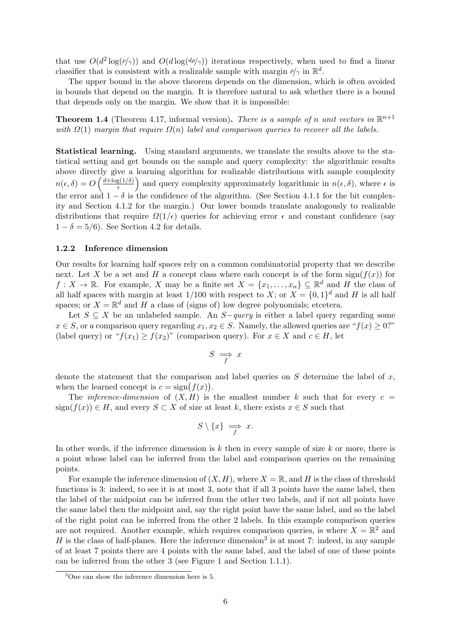that use  $O(d^2 \log(\rho/\gamma))$  and  $O(d \log(d\rho/\gamma))$  iterations respectively, when used to find a linear classifier that is consistent with a realizable sample with margin  $\rho/\gamma$  in  $\mathbb{R}^d$ .

The upper bound in the above theorem depends on the dimension, which is often avoided in bounds that depend on the margin. It is therefore natural to ask whether there is a bound that depends only on the margin. We show that it is impossible:

**Theorem 1.4** (Theorem [4.17,](#page-22-0) informal version). There is a sample of n unit vectors in  $\mathbb{R}^{n+1}$ with  $\Omega(1)$  margin that require  $\Omega(n)$  label and comparison queries to recover all the labels.

Statistical learning. Using standard arguments, we translate the results above to the statistical setting and get bounds on the sample and query complexity: the algorithmic results above directly give a learning algorithm for realizable distributions with sample complexity  $n(\epsilon, \delta) = O\left(\frac{d + \log(1/\delta)}{\epsilon}\right)$  $\frac{g(1/\delta)}{\epsilon}$  and query complexity approximately logarithmic in  $n(\epsilon, \delta)$ , where  $\epsilon$  is the error and  $1 - \delta$  is the confidence of the algorithm. (See Section [4.1.1](#page-16-2) for the bit complexity and Section [4.1.2](#page-18-1) for the margin.) Our lower bounds translate analogously to realizable distributions that require  $\Omega(1/\epsilon)$  queries for achieving error  $\epsilon$  and constant confidence (say  $1 - \delta = 5/6$ . See Section [4.2](#page-20-1) for details.

### <span id="page-5-0"></span>1.2.2 Inference dimension

Our results for learning half spaces rely on a common combinatorial property that we describe next. Let X be a set and H a concept class where each concept is of the form sign( $f(x)$ ) for  $f: X \to \mathbb{R}$ . For example, X may be a finite set  $X = \{x_1, \ldots, x_n\} \subseteq \mathbb{R}^d$  and H the class of all half spaces with margin at least  $1/100$  with respect to X; or  $X = \{0,1\}^d$  and H is all half spaces; or  $X = \mathbb{R}^d$  and H a class of (signs of) low degree polynomials; etcetera.

Let  $S \subseteq X$  be an unlabeled sample. An  $S$ -query is either a label query regarding some  $x \in S$ , or a comparison query regarding  $x_1, x_2 \in S$ . Namely, the allowed queries are " $f(x) \geq 0$ ?" (label query) or " $f(x_1) \ge f(x_2)$ " (comparison query). For  $x \in X$  and  $c \in H$ , let

$$
S \implies x
$$

denote the statement that the comparison and label queries on  $S$  determine the label of  $x$ , when the learned concept is  $c = sign(f(x))$ .

The *inference-dimension* of  $(X, H)$  is the smallest number k such that for every  $c =$ sign( $f(x)$ ) ∈ H, and every  $S \subset X$  of size at least k, there exists  $x \in S$  such that

$$
S \setminus \{x\} \implies x.
$$

In other words, if the inference dimension is  $k$  then in every sample of size  $k$  or more, there is a point whose label can be inferred from the label and comparison queries on the remaining points.

For example the inference dimension of  $(X, H)$ , where  $X = \mathbb{R}$ , and H is the class of threshold functions is 3: indeed, to see it is at most 3, note that if all 3 points have the same label, then the label of the midpoint can be inferred from the other two labels, and if not all points have the same label then the midpoint and, say the right point have the same label, and so the label of the right point can be inferred from the other 2 labels. In this example comparison queries are not required. Another example, which requires comparison queries, is where  $X = \mathbb{R}^2$  and H is the class of half-planes. Here the inference dimension<sup>[3](#page-5-1)</sup> is at most 7: indeed, in any sample of at least 7 points there are 4 points with the same label, and the label of one of these points can be inferred from the other 3 (see Figure [1](#page-3-0) and Section [1.1.1\)](#page-2-0).

<span id="page-5-1"></span><sup>3</sup>One can show the inference dimension here is 5.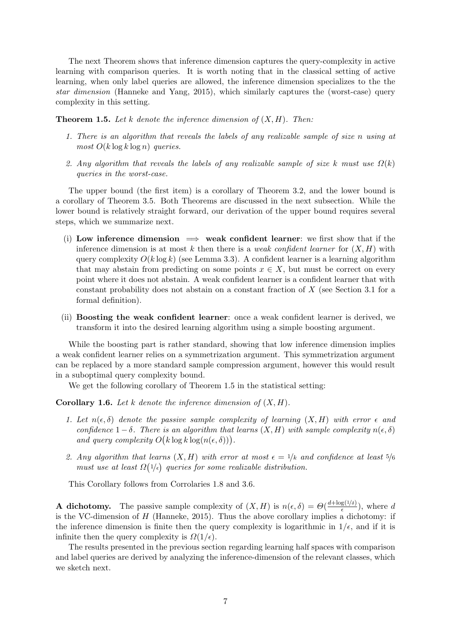The next Theorem shows that inference dimension captures the query-complexity in active learning with comparison queries. It is worth noting that in the classical setting of active learning, when only label queries are allowed, the inference dimension specializes to the the star dimension [\(Hanneke and Yang,](#page-25-4) [2015\)](#page-25-4), which similarly captures the (worst-case) query complexity in this setting.

<span id="page-6-0"></span>**Theorem 1.5.** Let k denote the inference dimension of  $(X, H)$ . Then:

- 1. There is an algorithm that reveals the labels of any realizable sample of size n using at most  $O(k \log k \log n)$  queries.
- 2. Any algorithm that reveals the labels of any realizable sample of size k must use  $\Omega(k)$ queries in the worst-case.

The upper bound (the first item) is a corollary of Theorem [3.2,](#page-13-0) and the lower bound is a corollary of Theorem [3.5.](#page-15-0) Both Theorems are discussed in the next subsection. While the lower bound is relatively straight forward, our derivation of the upper bound requires several steps, which we summarize next.

- (i) Low inference dimension  $\implies$  weak confident learner: we first show that if the inference dimension is at most k then there is a *weak confident learner* for  $(X, H)$  with query complexity  $O(k \log k)$  (see Lemma [3.3\)](#page-13-1). A confident learner is a learning algorithm that may abstain from predicting on some points  $x \in X$ , but must be correct on every point where it does not abstain. A weak confident learner is a confident learner that with constant probability does not abstain on a constant fraction of  $X$  (see Section [3.1](#page-13-3) for a formal definition).
- (ii) Boosting the weak confident learner: once a weak confident learner is derived, we transform it into the desired learning algorithm using a simple boosting argument.

While the boosting part is rather standard, showing that low inference dimension implies a weak confident learner relies on a symmetrization argument. This symmetrization argument can be replaced by a more standard sample compression argument, however this would result in a suboptimal query complexity bound.

We get the following corollary of Theorem [1.5](#page-6-0) in the statistical setting:

**Corollary 1.6.** Let k denote the inference dimension of  $(X, H)$ .

- 1. Let  $n(\epsilon, \delta)$  denote the passive sample complexity of learning  $(X, H)$  with error  $\epsilon$  and confidence  $1 - \delta$ . There is an algorithm that learns  $(X, H)$  with sample complexity  $n(\epsilon, \delta)$ and query complexity  $O(k \log k \log(n(\epsilon, \delta)))$ .
- 2. Any algorithm that learns  $(X, H)$  with error at most  $\epsilon = 1/k$  and confidence at least  $5/6$ must use at least  $\Omega(1/\epsilon)$  queries for some realizable distribution.

This Corollary follows from Corrolaries [1.8](#page-8-1) and [3.6.](#page-16-3)

**A** dichotomy. The passive sample complexity of  $(X, H)$  is  $n(\epsilon, \delta) = \Theta(\frac{d + \log(1/\delta)}{\epsilon})$  $\frac{g(1/\delta)}{\epsilon}$ , where d is the VC-dimension of  $H$  [\(Hanneke,](#page-25-5) [2015\)](#page-25-5). Thus the above corollary implies a dichotomy: if the inference dimension is finite then the query complexity is logarithmic in  $1/\epsilon$ , and if it is infinite then the query complexity is  $\Omega(1/\epsilon)$ .

The results presented in the previous section regarding learning half spaces with comparison and label queries are derived by analyzing the inference-dimension of the relevant classes, which we sketch next.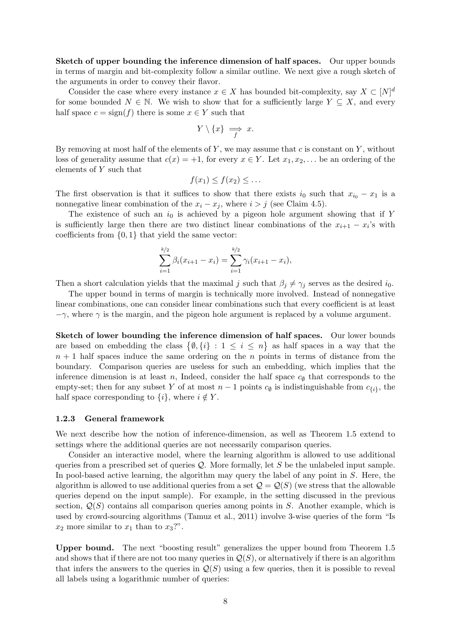Sketch of upper bounding the inference dimension of half spaces. Our upper bounds in terms of margin and bit-complexity follow a similar outline. We next give a rough sketch of the arguments in order to convey their flavor.

Consider the case where every instance  $x \in X$  has bounded bit-complexity, say  $X \subset [N]^d$ for some bounded  $N \in \mathbb{N}$ . We wish to show that for a sufficiently large  $Y \subseteq X$ , and every half space  $c = \text{sign}(f)$  there is some  $x \in Y$  such that

$$
Y \setminus \{x\} \implies x.
$$

By removing at most half of the elements of  $Y$ , we may assume that  $c$  is constant on  $Y$ , without loss of generality assume that  $c(x) = +1$ , for every  $x \in Y$ . Let  $x_1, x_2, \ldots$  be an ordering of the elements of Y such that

$$
f(x_1) \le f(x_2) \le \dots
$$

The first observation is that it suffices to show that there exists  $i_0$  such that  $x_{i_0} - x_1$  is a nonnegative linear combination of the  $x_i - x_j$ , where  $i > j$  (see Claim [4.5\)](#page-17-0).

The existence of such an  $i_0$  is achieved by a pigeon hole argument showing that if Y is sufficiently large then there are two distinct linear combinations of the  $x_{i+1} - x_i$ 's with coefficients from  $\{0,1\}$  that yield the same vector:

$$
\sum_{i=1}^{k/2} \beta_i (x_{i+1} - x_i) = \sum_{i=1}^{k/2} \gamma_i (x_{i+1} - x_i),
$$

Then a short calculation yields that the maximal j such that  $\beta_j \neq \gamma_j$  serves as the desired  $i_0$ .

The upper bound in terms of margin is technically more involved. Instead of nonnegative linear combinations, one can consider linear combinations such that every coefficient is at least  $-\gamma$ , where  $\gamma$  is the margin, and the pigeon hole argument is replaced by a volume argument.

Sketch of lower bounding the inference dimension of half spaces. Our lower bounds are based on embedding the class  $\{\emptyset, \{i\} : 1 \leq i \leq n\}$  as half spaces in a way that the  $n + 1$  half spaces induce the same ordering on the n points in terms of distance from the boundary. Comparison queries are useless for such an embedding, which implies that the inference dimension is at least n, Indeed, consider the half space  $c_{\emptyset}$  that corresponds to the empty-set; then for any subset Y of at most  $n-1$  points  $c_{\emptyset}$  is indistinguishable from  $c_{\{i\}}$ , the half space corresponding to  $\{i\}$ , where  $i \notin Y$ .

#### <span id="page-7-0"></span>1.2.3 General framework

We next describe how the notion of inference-dimension, as well as Theorem [1.5](#page-6-0) extend to settings where the additional queries are not necessarily comparison queries.

Consider an interactive model, where the learning algorithm is allowed to use additional queries from a prescribed set of queries  $\mathcal Q$ . More formally, let S be the unlabeled input sample. In pool-based active learning, the algorithm may query the label of any point in  $S$ . Here, the algorithm is allowed to use additional queries from a set  $\mathcal{Q} = \mathcal{Q}(S)$  (we stress that the allowable queries depend on the input sample). For example, in the setting discussed in the previous section,  $Q(S)$  contains all comparison queries among points in S. Another example, which is used by crowd-sourcing algorithms [\(Tamuz et al.,](#page--1-4) [2011\)](#page--1-4) involve 3-wise queries of the form "Is  $x_2$  more similar to  $x_1$  than to  $x_3$ ?".

Upper bound. The next "boosting result" generalizes the upper bound from Theorem [1.5](#page-6-0) and shows that if there are not too many queries in  $\mathcal{Q}(S)$ , or alternatively if there is an algorithm that infers the answers to the queries in  $\mathcal{Q}(S)$  using a few queries, then it is possible to reveal all labels using a logarithmic number of queries: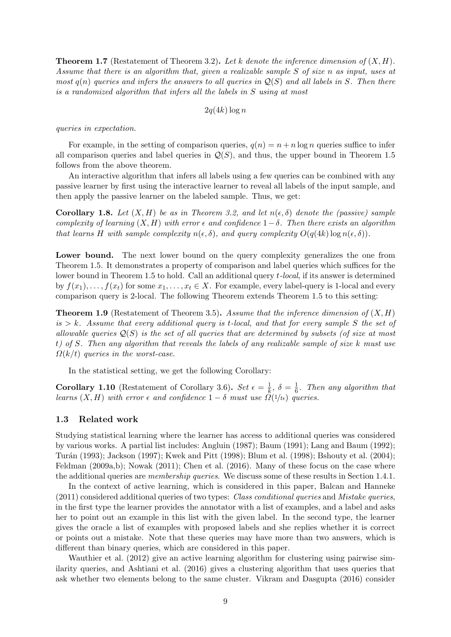**Theorem 1.7** (Restatement of Theorem [3.2\)](#page-13-0). Let k denote the inference dimension of  $(X, H)$ . Assume that there is an algorithm that, given a realizable sample S of size n as input, uses at most  $q(n)$  queries and infers the answers to all queries in  $\mathcal{Q}(S)$  and all labels in S. Then there is a randomized algorithm that infers all the labels in S using at most

$$
2q(4k)\log n
$$

queries in expectation.

For example, in the setting of comparison queries,  $q(n) = n + n \log n$  queries suffice to infer all comparison queries and label queries in  $\mathcal{Q}(S)$ , and thus, the upper bound in Theorem [1.5](#page-6-0) follows from the above theorem.

An interactive algorithm that infers all labels using a few queries can be combined with any passive learner by first using the interactive learner to reveal all labels of the input sample, and then apply the passive learner on the labeled sample. Thus, we get:

<span id="page-8-1"></span>**Corollary 1.8.** Let  $(X, H)$  be as in Theorem [3.2,](#page-13-0) and let  $n(\epsilon, \delta)$  denote the (passive) sample complexity of learning  $(X, H)$  with error  $\epsilon$  and confidence  $1-\delta$ . Then there exists an algorithm that learns H with sample complexity  $n(\epsilon, \delta)$ , and query complexity  $O(q(4k) \log n(\epsilon, \delta))$ .

Lower bound. The next lower bound on the query complexity generalizes the one from Theorem [1.5.](#page-6-0) It demonstrates a property of comparison and label queries which suffices for the lower bound in Theorem [1.5](#page-6-0) to hold. Call an additional query *t*-local, if its answer is determined by  $f(x_1), \ldots, f(x_t)$  for some  $x_1, \ldots, x_t \in X$ . For example, every label-query is 1-local and every comparison query is 2-local. The following Theorem extends Theorem [1.5](#page-6-0) to this setting:

**Theorem 1.9** (Restatement of Theorem [3.5\)](#page-15-0). Assume that the inference dimension of  $(X, H)$ is  $> k$ . Assume that every additional query is t-local, and that for every sample S the set of allowable queries  $\mathcal{Q}(S)$  is the set of all queries that are determined by subsets (of size at most t) of S. Then any algorithm that reveals the labels of any realizable sample of size k must use  $\Omega(k/t)$  queries in the worst-case.

In the statistical setting, we get the following Corollary:

**Corollary 1.10** (Restatement of Corollary [3.6\)](#page-16-3). Set  $\epsilon = \frac{1}{k}$  $\frac{1}{k}, \delta = \frac{1}{6}$  $\frac{1}{6}$ . Then any algorithm that learns  $(X, H)$  with error  $\epsilon$  and confidence  $1 - \delta$  must use  $\Omega(1/t_{\epsilon})$  queries.

### <span id="page-8-0"></span>1.3 Related work

Studying statistical learning where the learner has access to additional queries was considered by various works. A partial list includes: [Angluin](#page-23-6) [\(1987\)](#page-23-6); [Baum](#page-23-7) [\(1991\)](#page-23-7); [Lang and Baum](#page-26-2) [\(1992\)](#page-26-2); [Tur´an](#page--1-5) [\(1993\)](#page--1-5); [Jackson](#page-25-6) [\(1997\)](#page-25-6); [Kwek and Pitt](#page-26-3) [\(1998\)](#page-26-3); [Blum et al.](#page-24-4) [\(1998\)](#page-24-4); [Bshouty et al.](#page-24-5) [\(2004\)](#page-24-5); [Feldman](#page-24-6) [\(2009a](#page-24-6)[,b\)](#page-24-7); [Nowak](#page-26-4) [\(2011\)](#page-26-4); [Chen et al.](#page-24-8) [\(2016\)](#page-24-8). Many of these focus on the case where the additional queries are *membership queries*. We discuss some of these results in Section [1.4.1.](#page-9-1)

In the context of active learning, which is considered in this paper, [Balcan and Hanneke](#page-23-3) [\(2011\)](#page-23-3) considered additional queries of two types: Class conditional queries and Mistake queries, in the first type the learner provides the annotator with a list of examples, and a label and asks her to point out an example in this list with the given label. In the second type, the learner gives the oracle a list of examples with proposed labels and she replies whether it is correct or points out a mistake. Note that these queries may have more than two answers, which is different than binary queries, which are considered in this paper.

[Wauthier et al.](#page--1-6) [\(2012\)](#page--1-6) give an active learning algorithm for clustering using pairwise similarity queries, and [Ashtiani et al.](#page-23-8) [\(2016\)](#page-23-8) gives a clustering algorithm that uses queries that ask whether two elements belong to the same cluster. [Vikram and Dasgupta](#page--1-7) [\(2016\)](#page--1-7) consider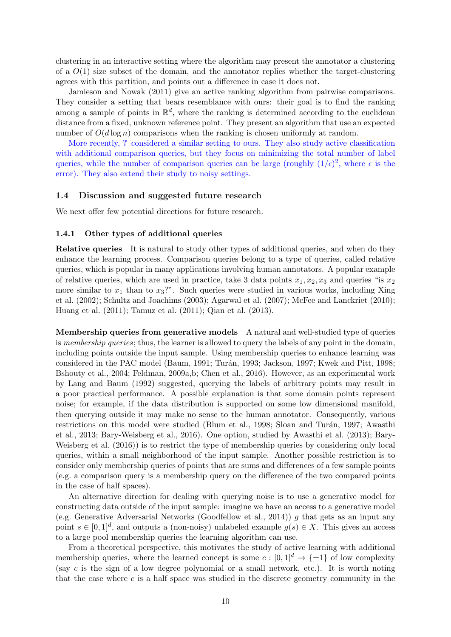clustering in an interactive setting where the algorithm may present the annotator a clustering of a  $O(1)$  size subset of the domain, and the annotator replies whether the target-clustering agrees with this partition, and points out a difference in case it does not.

[Jamieson and Nowak](#page-25-7) [\(2011\)](#page-25-7) give an active ranking algorithm from pairwise comparisons. They consider a setting that bears resemblance with ours: their goal is to find the ranking among a sample of points in  $\mathbb{R}^d$ , where the ranking is determined according to the euclidean distance from a fixed, unknown reference point. They present an algorithm that use an expected number of  $O(d \log n)$  comparisons when the ranking is chosen uniformly at random.

More recently, ? considered a similar setting to ours. They also study active classification with additional comparison queries, but they focus on minimizing the total number of label queries, while the number of comparison queries can be large (roughly  $(1/\epsilon)^2$ , where  $\epsilon$  is the error). They also extend their study to noisy settings.

### <span id="page-9-0"></span>1.4 Discussion and suggested future research

We next offer few potential directions for future research.

### <span id="page-9-1"></span>1.4.1 Other types of additional queries

Relative queries It is natural to study other types of additional queries, and when do they enhance the learning process. Comparison queries belong to a type of queries, called relative queries, which is popular in many applications involving human annotators. A popular example of relative queries, which are used in practice, take 3 data points  $x_1, x_2, x_3$  and queries "is  $x_2$ " more similar to  $x_1$  than to  $x_3$ ?". Such queries were studied in various works, including [Xing](#page--1-8) [et al.](#page--1-8) [\(2002\)](#page--1-8); [Schultz and Joachims](#page-26-5) [\(2003\)](#page-26-5); [Agarwal et al.](#page-23-9) [\(2007\)](#page-23-9); [McFee and Lanckriet](#page-26-6) [\(2010\)](#page-26-6); [Huang et al.](#page-25-8) [\(2011\)](#page-25-8); [Tamuz et al.](#page--1-4) [\(2011\)](#page--1-4); [Qian et al.](#page-26-7) [\(2013\)](#page-26-7).

Membership queries from generative models A natural and well-studied type of queries is membership queries; thus, the learner is allowed to query the labels of any point in the domain, including points outside the input sample. Using membership queries to enhance learning was considered in the PAC model [\(Baum,](#page-23-7) [1991;](#page-23-7) Turán, [1993;](#page--1-5) [Jackson,](#page-25-6) [1997;](#page-25-6) [Kwek and Pitt,](#page-26-3) [1998;](#page-26-3) [Bshouty et al.,](#page-24-5) [2004;](#page-24-5) [Feldman,](#page-24-6) [2009a,](#page-24-6)[b;](#page-24-7) [Chen et al.,](#page-24-8) [2016\)](#page-24-8). However, as an experimental work by [Lang and Baum](#page-26-2) [\(1992\)](#page-26-2) suggested, querying the labels of arbitrary points may result in a poor practical performance. A possible explanation is that some domain points represent noise; for example, if the data distribution is supported on some low dimensional manifold, then querying outside it may make no sense to the human annotator. Consequently, various restrictions on this model were studied [\(Blum et al.,](#page-24-4) [1998;](#page-24-4) Sloan and Turán, [1997;](#page--1-9) [Awasthi](#page-23-10) [et al.,](#page-23-10) [2013;](#page-23-10) [Bary-Weisberg et al.,](#page-23-11) [2016\)](#page-23-11). One option, studied by [Awasthi et al.](#page-23-10) [\(2013\)](#page-23-10); [Bary-](#page-23-11)[Weisberg et al.](#page-23-11) [\(2016\)](#page-23-11)) is to restrict the type of membership queries by considering only local queries, within a small neighborhood of the input sample. Another possible restriction is to consider only membership queries of points that are sums and differences of a few sample points (e.g. a comparison query is a membership query on the difference of the two compared points in the case of half spaces).

An alternative direction for dealing with querying noise is to use a generative model for constructing data outside of the input sample: imagine we have an access to a generative model (e.g. Generative Adversarial Networks [\(Goodfellow et al.,](#page-25-9) [2014\)](#page-25-9)) g that gets as an input any point  $s \in [0,1]^d$ , and outputs a (non-noisy) unlabeled example  $g(s) \in X$ . This gives an access to a large pool membership queries the learning algorithm can use.

From a theoretical perspective, this motivates the study of active learning with additional membership queries, where the learned concept is some  $c : [0, 1]^d \rightarrow {\pm 1}$  of low complexity (say c is the sign of a low degree polynomial or a small network, etc.). It is worth noting that the case where c is a half space was studied in the discrete geometry community in the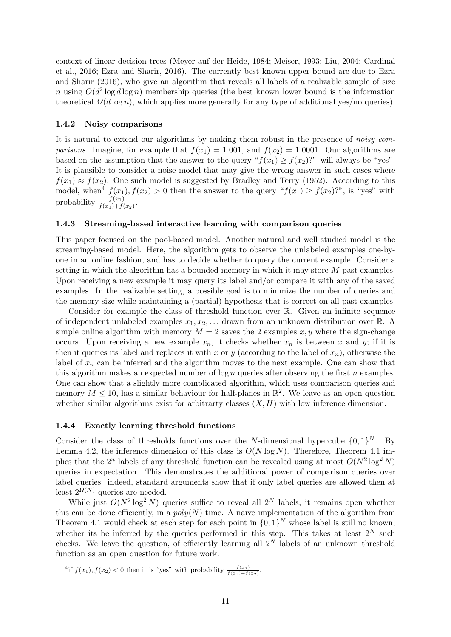context of linear decision trees [\(Meyer auf der Heide,](#page-26-8) [1984;](#page-26-8) [Meiser,](#page-26-9) [1993;](#page-26-9) [Liu,](#page-26-10) [2004;](#page-26-10) [Cardinal](#page-24-9) [et al.,](#page-24-9) [2016;](#page-24-9) [Ezra and Sharir,](#page-24-10) [2016\)](#page-24-10). The currently best known upper bound are due to [Ezra](#page-24-10) [and Sharir](#page-24-10) [\(2016\)](#page-24-10), who give an algorithm that reveals all labels of a realizable sample of size n using  $\tilde{O}(d^2 \log d \log n)$  membership queries (the best known lower bound is the information theoretical  $\Omega(d \log n)$ , which applies more generally for any type of additional yes/no queries).

### 1.4.2 Noisy comparisons

It is natural to extend our algorithms by making them robust in the presence of *noisy comparisons.* Imagine, for example that  $f(x_1) = 1.001$ , and  $f(x_2) = 1.0001$ . Our algorithms are based on the assumption that the answer to the query " $f(x_1) \ge f(x_2)$ ?" will always be "yes". It is plausible to consider a noise model that may give the wrong answer in such cases where  $f(x_1) \approx f(x_2)$ . One such model is suggested by [Bradley and Terry](#page-24-11) [\(1952\)](#page-24-11). According to this model, when<sup>[4](#page-10-1)</sup>  $f(x_1)$ ,  $f(x_2) > 0$  then the answer to the query " $f(x_1) \ge f(x_2)$ ?", is "yes" with probability  $\frac{f(x_1)}{f(x_1)+f(x_2)}$ .

### 1.4.3 Streaming-based interactive learning with comparison queries

This paper focused on the pool-based model. Another natural and well studied model is the streaming-based model. Here, the algorithm gets to observe the unlabeled examples one-byone in an online fashion, and has to decide whether to query the current example. Consider a setting in which the algorithm has a bounded memory in which it may store  $M$  past examples. Upon receiving a new example it may query its label and/or compare it with any of the saved examples. In the realizable setting, a possible goal is to minimize the number of queries and the memory size while maintaining a (partial) hypothesis that is correct on all past examples.

Consider for example the class of threshold function over R. Given an infinite sequence of independent unlabeled examples  $x_1, x_2, \ldots$  drawn from an unknown distribution over R. A simple online algorithm with memory  $M = 2$  saves the 2 examples x, y where the sign-change occurs. Upon receiving a new example  $x_n$ , it checks whether  $x_n$  is between x and y; if it is then it queries its label and replaces it with x or y (according to the label of  $x_n$ ), otherwise the label of  $x_n$  can be inferred and the algorithm moves to the next example. One can show that this algorithm makes an expected number of  $\log n$  queries after observing the first n examples. One can show that a slightly more complicated algorithm, which uses comparison queries and memory  $M \leq 10$ , has a similar behaviour for half-planes in  $\mathbb{R}^2$ . We leave as an open question whether similar algorithms exist for arbitrarty classes  $(X, H)$  with low inference dimension.

### <span id="page-10-0"></span>1.4.4 Exactly learning threshold functions

Consider the class of thresholds functions over the N-dimensional hypercube  $\{0, 1\}^N$ . By Lemma [4.2,](#page-17-1) the inference dimension of this class is  $O(N \log N)$ . Therefore, Theorem [4.1](#page-16-1) implies that the 2<sup>n</sup> labels of any threshold function can be revealed using at most  $O(N^2 \log^2 N)$ queries in expectation. This demonstrates the additional power of comparison queries over label queries: indeed, standard arguments show that if only label queries are allowed then at least  $2^{\Omega(N)}$  queries are needed.

While just  $O(N^2 \log^2 N)$  queries suffice to reveal all  $2^N$  labels, it remains open whether this can be done efficiently, in a  $poly(N)$  time. A naive implementation of the algorithm from Theorem [4.1](#page-16-1) would check at each step for each point in  $\{0,1\}^N$  whose label is still no known, whether its be inferred by the queries performed in this step. This takes at least  $2^N$  such checks. We leave the question, of efficiently learning all  $2^N$  labels of an unknown threshold function as an open question for future work.

<span id="page-10-1"></span><sup>&</sup>lt;sup>4</sup>if  $f(x_1), f(x_2) < 0$  then it is "yes" with probability  $\frac{f(x_2)}{f(x_1) + f(x_2)}$ .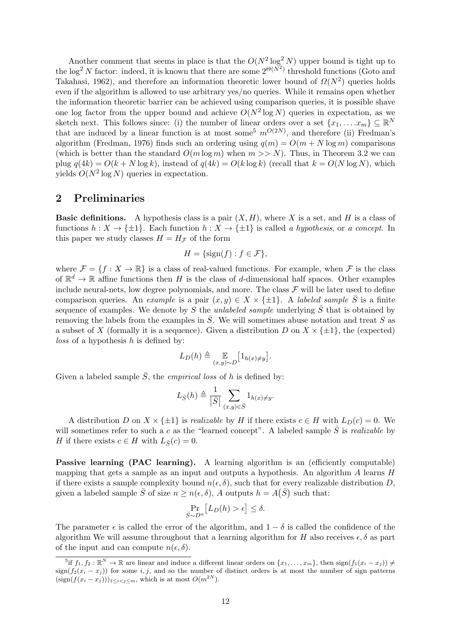Another comment that seems in place is that the  $O(N^2 \log^2 N)$  upper bound is tight up to the log<sup>2</sup> N factor: indeed, it is known that there are some  $2^{\Theta(N^2)}$  threshold functions [\(Goto and](#page-25-10) [Takahasi,](#page-25-10) [1962\)](#page-25-10), and therefore an information theoretic lower bound of  $\Omega(N^2)$  queries holds even if the algorithm is allowed to use arbitrary yes/no queries. While it remains open whether the information theoretic barrier can be achieved using comparison queries, it is possible shave one log factor from the upper bound and achieve  $O(N^2 \log N)$  queries in expectation, as we sketch next. This follows since: (i) the number of linear orders over a set  $\{x_1, \ldots x_m\} \subseteq \mathbb{R}^N$ that are induced by a linear function is at most some<sup>[5](#page-11-1)</sup>  $m^{O(2N)}$ , and therefore (ii) Fredman's algorithm [\(Fredman,](#page-25-11) [1976\)](#page-25-11) finds such an ordering using  $q(m) = O(m + N \log m)$  comparisons (which is better than the standard  $O(m \log m)$  when  $m >> N$ ). Thus, in Theorem [3.2](#page-13-0) we can plug  $q(4k) = O(k + N \log k)$ , instead of  $q(4k) = O(k \log k)$  (recall that  $k = O(N \log N)$ , which yields  $O(N^2 \log N)$  queries in expectation.

### <span id="page-11-0"></span>2 Preliminaries

**Basic definitions.** A hypothesis class is a pair  $(X, H)$ , where X is a set, and H is a class of functions  $h: X \to \{\pm 1\}$ . Each function  $h: X \to \{\pm 1\}$  is called a hypothesis, or a concept. In this paper we study classes  $H = H_{\mathcal{F}}$  of the form

$$
H = \{\text{sign}(f) : f \in \mathcal{F}\},
$$

where  $\mathcal{F} = \{f : X \to \mathbb{R}\}\$ is a class of real-valued functions. For example, when  $\mathcal{F}$  is the class of  $\mathbb{R}^d \to \mathbb{R}$  affine functions then H is the class of d-dimensional half spaces. Other examples include neural-nets, low degree polynomials, and more. The class  $\mathcal F$  will be later used to define comparison queries. An example is a pair  $(x, y) \in X \times \{\pm 1\}$ . A labeled sample  $\overline{S}$  is a finite sequence of examples. We denote by S the unlabeled sample underlying  $\overline{S}$  that is obtained by removing the labels from the examples in  $\overline{S}$ . We will sometimes abuse notation and treat S as a subset of X (formally it is a sequence). Given a distribution D on  $X \times \{\pm 1\}$ , the (expected)  $loss$  of a hypothesis  $h$  is defined by:

$$
L_D(h) \triangleq \mathop{\mathbb{E}}_{(x,y)\sim D} \big[1_{h(x)\neq y}\big].
$$

Given a labeled sample  $\overline{S}$ , the *empirical loss* of h is defined by:

$$
L_{\bar{S}}(h) \triangleq \frac{1}{|\bar{S}|} \sum_{(x,y)\in \bar{S}} 1_{h(x)\neq y}.
$$

A distribution D on  $X \times \{\pm 1\}$  is *realizable* by H if there exists  $c \in H$  with  $L_D(c) = 0$ . We will sometimes refer to such a c as the "learned concept". A labeled sample  $\overline{S}$  is *realizable* by H if there exists  $c \in H$  with  $L_{\bar{S}}(c) = 0$ .

Passive learning (PAC learning). A learning algorithm is an (efficiently computable) mapping that gets a sample as an input and outputs a hypothesis. An algorithm  $A$  learns  $H$ if there exists a sample complexity bound  $n(\epsilon, \delta)$ , such that for every realizable distribution D, given a labeled sample  $\bar{S}$  of size  $n \geq n(\epsilon, \delta)$ , A outputs  $h = A(\bar{S})$  such that:

$$
\Pr_{\bar{S}\sim D^n} [L_D(h) > \epsilon] \le \delta.
$$

The parameter  $\epsilon$  is called the error of the algorithm, and  $1 - \delta$  is called the confidence of the algorithm We will assume throughout that a learning algorithm for H also receives  $\epsilon, \delta$  as part of the input and can compute  $n(\epsilon, \delta)$ .

<span id="page-11-1"></span><sup>&</sup>lt;sup>5</sup>if  $f_1, f_2 : \mathbb{R}^N \to \mathbb{R}$  are linear and induce a different linear orders on  $\{x_1, \ldots, x_m\}$ , then  $\text{sign}(f_1(x_i - x_j)) \neq$  $\sin(f_2(x_i - x_j))$  for some i, j, and so the number of distinct orders is at most the number of sign patterns  $(\text{sign}(f(x_i - x_j)))_{1 \leq i < j \leq m}$ , which is at most  $O(m^{2N})$ .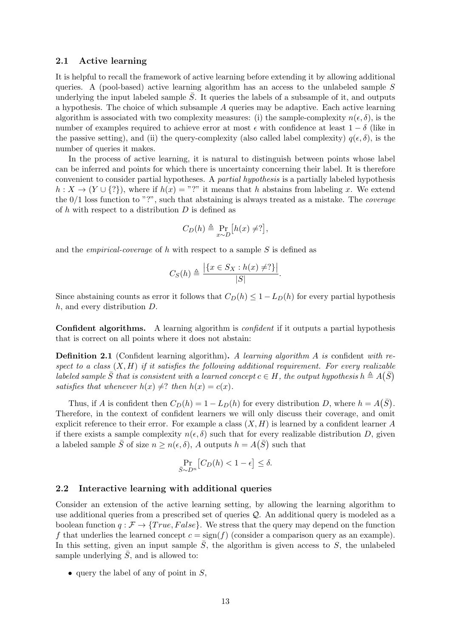### 2.1 Active learning

It is helpful to recall the framework of active learning before extending it by allowing additional queries. A (pool-based) active learning algorithm has an access to the unlabeled sample  $S$ underlying the input labeled sample  $\overline{S}$ . It queries the labels of a subsample of it, and outputs a hypothesis. The choice of which subsample A queries may be adaptive. Each active learning algorithm is associated with two complexity measures: (i) the sample-complexity  $n(\epsilon, \delta)$ , is the number of examples required to achieve error at most  $\epsilon$  with confidence at least  $1 - \delta$  (like in the passive setting), and (ii) the query-complexity (also called label complexity)  $q(\epsilon, \delta)$ , is the number of queries it makes.

In the process of active learning, it is natural to distinguish between points whose label can be inferred and points for which there is uncertainty concerning their label. It is therefore convenient to consider partial hypotheses. A partial hypothesis is a partially labeled hypothesis  $h: X \to (Y \cup \{? \})$ , where if  $h(x) = "?"$  it means that h abstains from labeling x. We extend the  $0/1$  loss function to "?", such that abstaining is always treated as a mistake. The *coverage* of  $h$  with respect to a distribution  $D$  is defined as

$$
C_D(h) \triangleq \Pr_{x \sim D} [h(x) \neq ?],
$$

and the *empirical-coverage* of h with respect to a sample  $S$  is defined as

$$
C_S(h) \triangleq \frac{|\{x \in S_X : h(x) \neq ?\}|}{|S|}
$$

.

Since abstaining counts as error it follows that  $C_D(h) \leq 1 - L_D(h)$  for every partial hypothesis h, and every distribution D.

Confident algorithms. A learning algorithm is *confident* if it outputs a partial hypothesis that is correct on all points where it does not abstain:

**Definition 2.1** (Confident learning algorithm). A learning algorithm A is confident with respect to a class  $(X, H)$  if it satisfies the following additional requirement. For every realizable labeled sample  $\bar{S}$  that is consistent with a learned concept  $c \in H$ , the output hypothesis  $h \triangleq A(\bar{S})$ satisfies that whenever  $h(x) \neq ?$  then  $h(x) = c(x)$ .

Thus, if A is confident then  $C_D(h) = 1 - L_D(h)$  for every distribution D, where  $h = A(\overline{S})$ . Therefore, in the context of confident learners we will only discuss their coverage, and omit explicit reference to their error. For example a class  $(X, H)$  is learned by a confident learner A if there exists a sample complexity  $n(\epsilon, \delta)$  such that for every realizable distribution D, given a labeled sample  $\bar{S}$  of size  $n \geq n(\epsilon, \delta)$ , A outputs  $h = A(\bar{S})$  such that

$$
\Pr_{\bar{S}\sim D^n} \left[ C_D(h) < 1 - \epsilon \right] \le \delta.
$$

### 2.2 Interactive learning with additional queries

Consider an extension of the active learning setting, by allowing the learning algorithm to use additional queries from a prescribed set of queries Q. An additional query is modeled as a boolean function  $q : \mathcal{F} \to \{True, False\}$ . We stress that the query may depend on the function f that underlies the learned concept  $c = \text{sign}(f)$  (consider a comparison query as an example). In this setting, given an input sample  $\overline{S}$ , the algorithm is given access to S, the unlabeled sample underlying  $\overline{S}$ , and is allowed to:

• query the label of any of point in  $S$ ,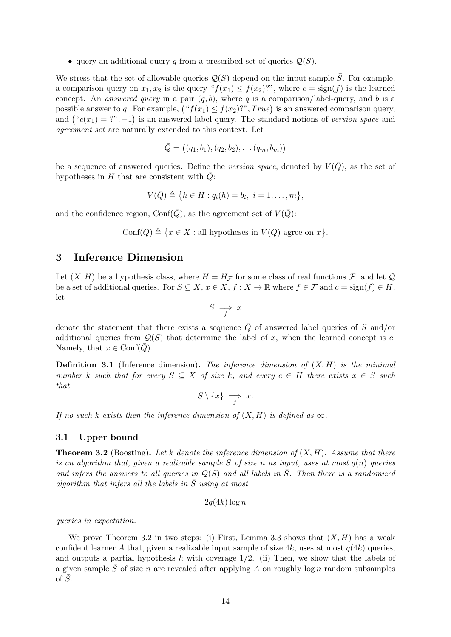• query an additional query q from a prescribed set of queries  $\mathcal{Q}(S)$ .

We stress that the set of allowable queries  $\mathcal{Q}(S)$  depend on the input sample S. For example, a comparison query on  $x_1, x_2$  is the query " $f(x_1) \le f(x_2)$ ", where  $c = \text{sign}(f)$  is the learned concept. An *answered query* in a pair  $(q, b)$ , where q is a comparison/label-query, and b is a possible answer to q. For example,  $({}^{\omega}f(x_1) \le f(x_2)$ ?",  $True$ ) is an answered comparison query, and  $({}^{\omega}c(x_1) = ?^{\omega}, -1)$  is an answered label query. The standard notions of version space and agreement set are naturally extended to this context. Let

$$
\bar{Q} = ((q_1, b_1), (q_2, b_2), \dots (q_m, b_m))
$$

be a sequence of answered queries. Define the version space, denoted by  $V(Q)$ , as the set of hypotheses in  $H$  that are consistent with  $Q$ :

$$
V(\bar{Q}) \triangleq \{h \in H : q_i(h) = b_i, i = 1, \ldots, m\},\
$$

and the confidence region, Conf( $\overline{Q}$ ), as the agreement set of  $V(\overline{Q})$ :

Conf(
$$
\overline{Q}
$$
)  $\triangleq \{x \in X : \text{all hypotheses in } V(\overline{Q}) \text{ agree on } x\}.$ 

### <span id="page-13-2"></span>3 Inference Dimension

Let  $(X, H)$  be a hypothesis class, where  $H = H<sub>\mathcal{F}</sub>$  for some class of real functions  $\mathcal{F}$ , and let  $\mathcal{Q}$ be a set of additional queries. For  $S \subseteq X$ ,  $x \in X$ ,  $f : X \to \mathbb{R}$  where  $f \in \mathcal{F}$  and  $c = \text{sign}(f) \in H$ , let

$$
S \implies x
$$

denote the statement that there exists a sequence  $\overline{Q}$  of answered label queries of S and/or additional queries from  $Q(S)$  that determine the label of x, when the learned concept is c. Namely, that  $x \in \text{Conf}(Q)$ .

**Definition 3.1** (Inference dimension). The inference dimension of  $(X, H)$  is the minimal number k such that for every  $S \subseteq X$  of size k, and every  $c \in H$  there exists  $x \in S$  such that

$$
S \setminus \{x\} \implies x.
$$

If no such k exists then the inference dimension of  $(X, H)$  is defined as  $\infty$ .

### <span id="page-13-3"></span>3.1 Upper bound

<span id="page-13-0"></span>**Theorem 3.2** (Boosting). Let k denote the inference dimension of  $(X, H)$ . Assume that there is an algorithm that, given a realizable sample  $\overline{S}$  of size n as input, uses at most  $q(n)$  queries and infers the answers to all queries in  $\mathcal{Q}(S)$  and all labels in  $\overline{S}$ . Then there is a randomized algorithm that infers all the labels in  $\overline{S}$  using at most

$$
2q(4k)\log n
$$

queries in expectation.

<span id="page-13-1"></span>We prove Theorem [3.2](#page-13-0) in two steps: (i) First, Lemma [3.3](#page-13-1) shows that  $(X, H)$  has a weak confident learner A that, given a realizable input sample of size 4k, uses at most  $q(4k)$  queries, and outputs a partial hypothesis h with coverage  $1/2$ . (ii) Then, we show that the labels of a given sample  $\overline{S}$  of size n are revealed after applying A on roughly log n random subsamples of  $\bar{S}$ .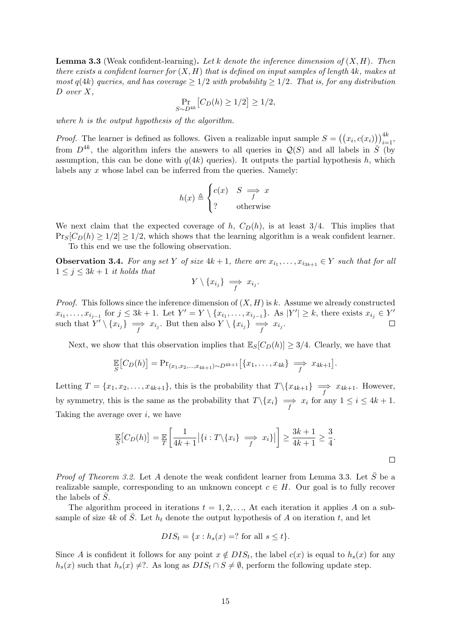**Lemma 3.3** (Weak confident-learning). Let k denote the inference dimension of  $(X, H)$ . Then there exists a confident learner for  $(X, H)$  that is defined on input samples of length 4k, makes at most  $q(4k)$  queries, and has coverage  $\geq 1/2$  with probability  $\geq 1/2$ . That is, for any distribution D over X,

$$
\Pr_{S \sim D^{4k}}[C_D(h) \ge 1/2] \ge 1/2,
$$

where h is the output hypothesis of the algorithm.

*Proof.* The learner is defined as follows. Given a realizable input sample  $S = ((x_i, c(x_i)))_{i=1}^{4k}$ , from  $D^{4k}$ , the algorithm infers the answers to all queries in  $\mathcal{Q}(S)$  and all labels in  $\overline{S}$  (by assumption, this can be done with  $q(4k)$  queries). It outputs the partial hypothesis h, which labels any x whose label can be inferred from the queries. Namely:

$$
h(x) \triangleq \begin{cases} c(x) & S \implies x \\ ? & \text{otherwise} \end{cases}
$$

We next claim that the expected coverage of h,  $C_D(h)$ , is at least 3/4. This implies that  $\Pr_s[C_D(h) \geq 1/2] \geq 1/2$ , which shows that the learning algorithm is a weak confident learner. To this end we use the following observation.

**Observation 3.4.** For any set Y of size  $4k + 1$ , there are  $x_{i_1}, \ldots, x_{i_{3k+1}} \in Y$  such that for all  $1 \leq j \leq 3k+1$  it holds that

$$
Y\setminus\{x_{i_j}\}\implies x_{i_j}.
$$

*Proof.* This follows since the inference dimension of  $(X, H)$  is k. Assume we already constructed  $x_{i_1},\ldots,x_{i_{j-1}}$  for  $j\leq 3k+1$ . Let  $Y'=Y\setminus\{x_{i_1},\ldots,x_{i_{j-1}}\}$ . As  $|Y'|\geq k$ , there exists  $x_{i_j}\in Y'$ such that  $Y' \setminus \{x_{i_j}\} \implies x_{i_j}$ . But then also  $Y \setminus \{x_{i_j}\} \implies x_{i_j}$ .

Next, we show that this observation implies that  $\mathbb{E}_S[C_D(h)] \geq 3/4$ . Clearly, we have that

$$
\mathbb{E}\big[C_D(h)\big] = \Pr_{(x_1,x_2,\ldots,x_{4k+1}) \sim D^{4k+1}}\big[\{x_1,\ldots,x_{4k}\}\implies x_{4k+1}\big].
$$

Letting  $T = \{x_1, x_2, \ldots, x_{4k+1}\}\$ , this is the probability that  $T \setminus \{x_{4k+1}\}\rightleftharpoons x_{4k+1}$ . However, by symmetry, this is the same as the probability that  $T \setminus \{x_i\} \implies x_i$  for any  $1 \le i \le 4k + 1$ . Taking the average over  $i$ , we have

$$
\mathbb{E}\left[C_D(h)\right] = \mathbb{E}\left[\frac{1}{4k+1}|\{i:T\setminus\{x_i\}\right] \implies x_i\}|\right] \ge \frac{3k+1}{4k+1} \ge \frac{3}{4}.
$$

*Proof of Theorem [3.2.](#page-13-0)* Let A denote the weak confident learner from Lemma [3.3.](#page-13-1) Let  $\bar{S}$  be a realizable sample, corresponding to an unknown concept  $c \in H$ . Our goal is to fully recover the labels of  $\bar{S}$ .

The algorithm proceed in iterations  $t = 1, 2, \ldots$ , At each iteration it applies A on a subsample of size 4k of  $\overline{S}$ . Let  $h_t$  denote the output hypothesis of A on iteration t, and let

$$
DIS_t = \{x : h_s(x) = ? \text{ for all } s \le t\}.
$$

Since A is confident it follows for any point  $x \notin DIS_t$ , the label  $c(x)$  is equal to  $h_s(x)$  for any  $h_s(x)$  such that  $h_s(x) \neq ?$ . As long as  $DIS_t \cap S \neq \emptyset$ , perform the following update step.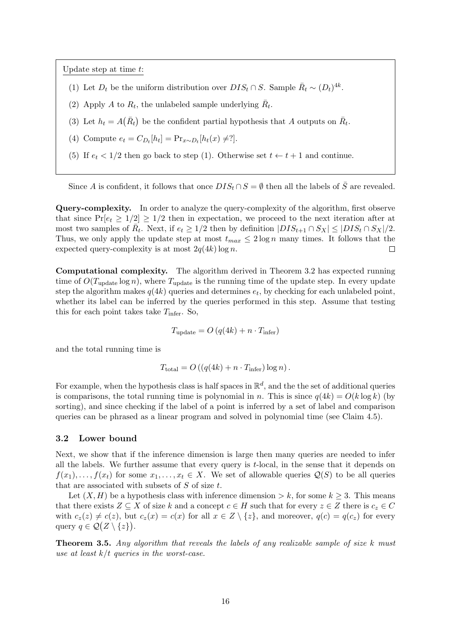Update step at time t:

- (1) Let  $D_t$  be the uniform distribution over  $DIS_t \cap S$ . Sample  $\bar{R}_t \sim (D_t)^{4k}$ .
- (2) Apply A to  $R_t$ , the unlabeled sample underlying  $\bar{R}_t$ .
- (3) Let  $h_t = A(\bar{R}_t)$  be the confident partial hypothesis that A outputs on  $\bar{R}_t$ .
- (4) Compute  $e_t = C_{D_t}[h_t] = \Pr_{x \sim D_t}[h_t(x) \neq ?].$
- (5) If  $e_t < 1/2$  then go back to step (1). Otherwise set  $t \leftarrow t + 1$  and continue.

Since A is confident, it follows that once  $DIS_t \cap S = \emptyset$  then all the labels of  $\overline{S}$  are revealed.

Query-complexity. In order to analyze the query-complexity of the algorithm, first observe that since  $Pr[e_t \geq 1/2] \geq 1/2$  then in expectation, we proceed to the next iteration after at most two samples of  $\overline{R}_t$ . Next, if  $e_t \geq 1/2$  then by definition  $|DIS_{t+1} \cap S_X | \leq |DIS_t \cap S_X |/2$ . Thus, we only apply the update step at most  $t_{max} \leq 2 \log n$  many times. It follows that the expected query-complexity is at most  $2q(4k) \log n$ .  $\Box$ 

Computational complexity. The algorithm derived in Theorem [3.2](#page-13-0) has expected running time of  $O(T_{\text{update}} \log n)$ , where  $T_{\text{update}}$  is the running time of the update step. In every update step the algorithm makes  $q(4k)$  queries and determines  $e_t$ , by checking for each unlabeled point, whether its label can be inferred by the queries performed in this step. Assume that testing this for each point takes take  $T_{\text{infer}}$ . So,

$$
T_{\text{update}} = O\left(q(4k) + n \cdot T_{\text{infer}}\right)
$$

and the total running time is

$$
T_{\text{total}} = O\left((q(4k) + n \cdot T_{\text{infer}})\log n\right).
$$

For example, when the hypothesis class is half spaces in  $\mathbb{R}^d$ , and the the set of additional queries is comparisons, the total running time is polynomial in n. This is since  $q(4k) = O(k \log k)$  (by sorting), and since checking if the label of a point is inferred by a set of label and comparison queries can be phrased as a linear program and solved in polynomial time (see Claim [4.5\)](#page-17-0).

### 3.2 Lower bound

Next, we show that if the inference dimension is large then many queries are needed to infer all the labels. We further assume that every query is t-local, in the sense that it depends on  $f(x_1), \ldots, f(x_t)$  for some  $x_1, \ldots, x_t \in X$ . We set of allowable queries  $\mathcal{Q}(S)$  to be all queries that are associated with subsets of  $S$  of size  $t$ .

Let  $(X, H)$  be a hypothesis class with inference dimension  $\geq k$ , for some  $k \geq 3$ . This means that there exists  $Z \subseteq X$  of size k and a concept  $c \in H$  such that for every  $z \in Z$  there is  $c_z \in C$ with  $c_z(z) \neq c(z)$ , but  $c_z(x) = c(x)$  for all  $x \in Z \setminus \{z\}$ , and moreover,  $q(c) = q(c_z)$  for every query  $q \in \mathcal{Q}(Z \setminus \{z\})$ .

<span id="page-15-0"></span>Theorem 3.5. Any algorithm that reveals the labels of any realizable sample of size k must use at least  $k/t$  queries in the worst-case.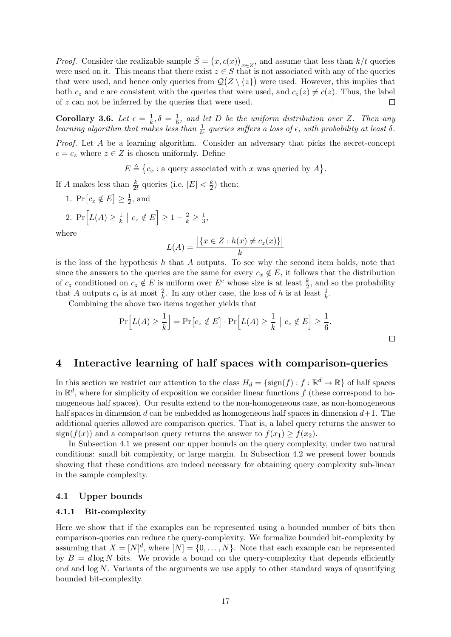*Proof.* Consider the realizable sample  $\bar{S} = (x, c(x))_{x \in Z}$ , and assume that less than  $k/t$  queries were used on it. This means that there exist  $z \in S$  that is not associated with any of the queries that were used, and hence only queries from  $\mathcal{Q}(Z \setminus \{z\})$  were used. However, this implies that both  $c_z$  and c are consistent with the queries that were used, and  $c_z(z) \neq c(z)$ . Thus, the label of z can not be inferred by the queries that were used.  $\Box$ 

<span id="page-16-3"></span>Corollary 3.6. Let  $\epsilon = \frac{1}{k}$  $\frac{1}{k}, \delta = \frac{1}{6}$  $\frac{1}{6}$ , and let D be the uniform distribution over Z. Then any learning algorithm that makes less than  $\frac{1}{t\epsilon}$  queries suffers a loss of  $\epsilon$ , with probability at least  $\delta$ .

Proof. Let A be a learning algorithm. Consider an adversary that picks the secret-concept  $c = c_z$  where  $z \in Z$  is chosen uniformly. Define

 $E \triangleq \{c_x : \text{a query associated with } x \text{ was queried by } A\}.$ 

If A makes less than  $\frac{k}{2t}$  queries (i.e.  $|E| < \frac{k}{2}$  $(\frac{k}{2})$  then:

1.  $\Pr[c_z \notin E] \geq \frac{1}{2}$  $\frac{1}{2}$ , and

2. 
$$
\Pr\left[L(A) \ge \frac{1}{k} \mid c_z \notin E\right] \ge 1 - \frac{2}{k} \ge \frac{1}{3},
$$

where

$$
L(A) = \frac{|\{x \in Z : h(x) \neq c_z(x)\}|}{k}
$$

is the loss of the hypothesis h that A outputs. To see why the second item holds, note that since the answers to the queries are the same for every  $c_x \notin E$ , it follows that the distribution of  $c_z$  conditioned on  $c_z \notin E$  is uniform over  $E^c$  whose size is at least  $\frac{k}{2}$ , and so the probability that A outputs  $c_i$  is at most  $\frac{2}{k}$ . In any other case, the loss of h is at least  $\frac{1}{k}$ .

Combining the above two items together yields that

$$
\Pr\Big[L(A) \ge \frac{1}{k}\Big] = \Pr\big[c_z \notin E\big] \cdot \Pr\Big[L(A) \ge \frac{1}{k} \mid c_z \notin E\Big] \ge \frac{1}{6}.
$$

 $\Box$ 

### <span id="page-16-0"></span>4 Interactive learning of half spaces with comparison-queries

In this section we restrict our attention to the class  $H_d = {\text{sign}(f) : f : \mathbb{R}^d \to \mathbb{R}}$  of half spaces in  $\mathbb{R}^d$ , where for simplicity of exposition we consider linear functions f (these correspond to homogeneous half spaces). Our results extend to the non-homogeneous case, as non-homogeneous half spaces in dimension d can be embedded as homogeneous half spaces in dimension  $d+1$ . The additional queries allowed are comparison queries. That is, a label query returns the answer to sign( $f(x)$ ) and a comparison query returns the answer to  $f(x_1) > f(x_2)$ .

In Subsection [4.1](#page-16-4) we present our upper bounds on the query complexity, under two natural conditions: small bit complexity, or large margin. In Subsection [4.2](#page-20-1) we present lower bounds showing that these conditions are indeed necessary for obtaining query complexity sub-linear in the sample complexity.

### <span id="page-16-4"></span>4.1 Upper bounds

### <span id="page-16-2"></span>4.1.1 Bit-complexity

<span id="page-16-1"></span>Here we show that if the examples can be represented using a bounded number of bits then comparison-queries can reduce the query-complexity. We formalize bounded bit-complexity by assuming that  $X = [N]^d$ , where  $[N] = \{0, \ldots, N\}$ . Note that each example can be represented by  $B = d \log N$  bits. We provide a bound on the query-complexity that depends efficiently ond and log N. Variants of the arguments we use apply to other standard ways of quantifying bounded bit-complexity.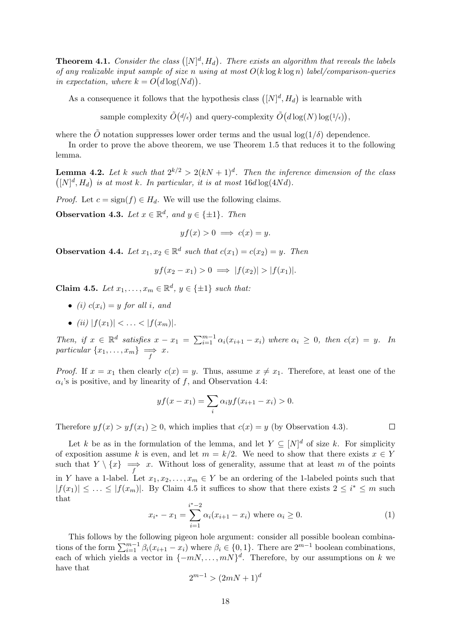**Theorem 4.1.** Consider the class  $([N]^d, H_d)$ . There exists an algorithm that reveals the labels of any realizable input sample of size n using at most  $O(k \log k \log n)$  label/comparison-queries in expectation, where  $k = O(d \log(Nd)).$ 

As a consequence it follows that the hypothesis class  $([N]^d, H_d)$  is learnable with

sample complexity  $\tilde{O}(d/\epsilon)$  and query-complexity  $\tilde{O}(d \log(N) \log(1/\epsilon)),$ 

where the  $\ddot{O}$  notation suppresses lower order terms and the usual  $\log(1/\delta)$  dependence.

In order to prove the above theorem, we use Theorem [1.5](#page-6-0) that reduces it to the following lemma.

<span id="page-17-1"></span>**Lemma 4.2.** Let k such that  $2^{k/2} > 2(kN + 1)^d$ . Then the inference dimension of the class  $([N]^d, H_d)$  is at most k. In particular, it is at most  $16d \log(4Nd)$ .

*Proof.* Let  $c = sign(f) \in H_d$ . We will use the following claims.

<span id="page-17-3"></span>**Observation 4.3.** Let  $x \in \mathbb{R}^d$ , and  $y \in \{\pm 1\}$ . Then

$$
yf(x) > 0 \implies c(x) = y.
$$

<span id="page-17-2"></span>**Observation 4.4.** Let  $x_1, x_2 \in \mathbb{R}^d$  such that  $c(x_1) = c(x_2) = y$ . Then

$$
yf(x_2 - x_1) > 0 \implies |f(x_2)| > |f(x_1)|.
$$

<span id="page-17-0"></span>Claim 4.5. Let  $x_1, \ldots, x_m \in \mathbb{R}^d$ ,  $y \in \{\pm 1\}$  such that:

- (i)  $c(x_i) = y$  for all i, and
- (ii)  $|f(x_1)| < \ldots < |f(x_m)|$ .

Then, if  $x \in \mathbb{R}^d$  satisfies  $x - x_1 = \sum_{i=1}^{m-1} \alpha_i (x_{i+1} - x_i)$  where  $\alpha_i \geq 0$ , then  $c(x) = y$ . In particular  $\{x_1, \ldots, x_m\} \implies x$ .

*Proof.* If  $x = x_1$  then clearly  $c(x) = y$ . Thus, assume  $x \neq x_1$ . Therefore, at least one of the  $\alpha_i$ 's is positive, and by linearity of f, and Observation [4.4:](#page-17-2)

$$
yf(x - x_1) = \sum_{i} \alpha_i y f(x_{i+1} - x_i) > 0.
$$

Therefore  $yf(x) > yf(x_1) \geq 0$ , which implies that  $c(x) = y$  (by Observation [4.3\)](#page-17-3).

Let k be as in the formulation of the lemma, and let  $Y \subseteq [N]^d$  of size k. For simplicity of exposition assume k is even, and let  $m = k/2$ . We need to show that there exists  $x \in Y$ such that  $Y \setminus \{x\} \implies x$ . Without loss of generality, assume that at least m of the points in Y have a 1-label. Let  $x_1, x_2, \ldots, x_m \in Y$  be an ordering of the 1-labeled points such that  $|f(x_1)| \leq \ldots \leq |f(x_m)|$ . By Claim [4.5](#page-17-0) it suffices to show that there exists  $2 \leq i^* \leq m$  such that

$$
x_{i^*} - x_1 = \sum_{i=1}^{i^* - 2} \alpha_i (x_{i+1} - x_i) \text{ where } \alpha_i \ge 0.
$$
 (1)

<span id="page-17-4"></span>This follows by the following pigeon hole argument: consider all possible boolean combinations of the form  $\sum_{i=1}^{m-1} \beta_i (x_{i+1} - x_i)$  where  $\beta_i \in \{0, 1\}$ . There are  $2^{m-1}$  boolean combinations, each of which yields a vector in  $\{-mN, \ldots, mN\}^d$ . Therefore, by our assumptions on k we have that

$$
2^{m-1} > (2mN + 1)^d
$$

 $\Box$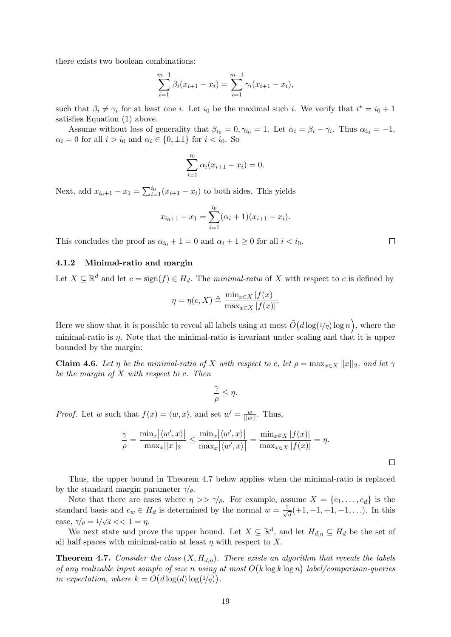there exists two boolean combinations:

$$
\sum_{i=1}^{m-1} \beta_i (x_{i+1} - x_i) = \sum_{i=1}^{m-1} \gamma_i (x_{i+1} - x_i),
$$

such that  $\beta_i \neq \gamma_i$  for at least one *i*. Let  $i_0$  be the maximal such *i*. We verify that  $i^* = i_0 + 1$ satisfies Equation [\(1\)](#page-17-4) above.

Assume without loss of generality that  $\beta_{i_0} = 0, \gamma_{i_0} = 1$ . Let  $\alpha_i = \beta_i - \gamma_i$ . Thus  $\alpha_{i_0} = -1$ ,  $\alpha_i = 0$  for all  $i > i_0$  and  $\alpha_i \in \{0, \pm 1\}$  for  $i < i_0$ . So

$$
\sum_{i=1}^{i_0} \alpha_i (x_{i+1} - x_i) = 0.
$$

Next, add  $x_{i_0+1} - x_1 = \sum_{i=1}^{i_0} (x_{i+1} - x_i)$  to both sides. This yields

$$
x_{i_0+1} - x_1 = \sum_{i=1}^{i_0} (\alpha_i + 1)(x_{i+1} - x_i).
$$

This concludes the proof as  $\alpha_{i_0} + 1 = 0$  and  $\alpha_i + 1 \geq 0$  for all  $i < i_0$ .

### <span id="page-18-1"></span>4.1.2 Minimal-ratio and margin

Let  $X \subseteq \mathbb{R}^d$  and let  $c = \text{sign}(f) \in H_d$ . The minimal-ratio of X with respect to c is defined by

$$
\eta = \eta(c, X) \triangleq \frac{\min_{x \in X} |f(x)|}{\max_{x \in X} |f(x)|}.
$$

Here we show that it is possible to reveal all labels using at most  $\tilde{O}(d \log(1/\eta) \log n)$ , where the minimal-ratio is *n*. Note that the minimal-ratio is invariant under scaling and that it is upper bounded by the margin:

**Claim 4.6.** Let  $\eta$  be the minimal-ratio of X with respect to c, let  $\rho = \max_{x \in X} ||x||_2$ , and let  $\gamma$ be the margin of  $X$  with respect to  $c$ . Then

$$
\frac{\gamma}{\rho}\leq \eta.
$$

*Proof.* Let w such that  $f(x) = \langle w, x \rangle$ , and set  $w' = \frac{w}{||w||}$ . Thus,

$$
\frac{\gamma}{\rho} = \frac{\min_x |\langle w', x \rangle|}{\max_x ||x||_2} \le \frac{\min_x |\langle w', x \rangle|}{\max_x |\langle w', x \rangle|} = \frac{\min_{x \in X} |f(x)|}{\max_{x \in X} |f(x)|} = \eta.
$$

Thus, the upper bound in Theorem [4.7](#page-18-0) below applies when the minimal-ratio is replaced by the standard margin parameter  $\gamma/\rho$ .

Note that there are cases where  $\eta >> \gamma/\rho$ . For example, assume  $X = \{e_1, \ldots, e_d\}$  is the standard basis and  $c_w \in H_d$  is determined by the normal  $w = \frac{1}{\sqrt{2}}$  $\frac{1}{d}(+1,-1,+1,-1,\ldots)$ . In this case,  $\gamma/\rho = 1/\sqrt{d} << 1 = \eta$ .

We next state and prove the upper bound. Let  $X \subseteq \mathbb{R}^d$ , and let  $H_{d,\eta} \subseteq H_d$  be the set of all half spaces with minimal-ratio at least  $\eta$  with respect to X.

<span id="page-18-0"></span>**Theorem 4.7.** Consider the class  $(X, H_{d,n})$ . There exists an algorithm that reveals the labels of any realizable input sample of size n using at most  $O(k \log k \log n)$  label/comparison-queries in expectation, where  $k = O(d \log(d) \log(1/n))$ .

 $\Box$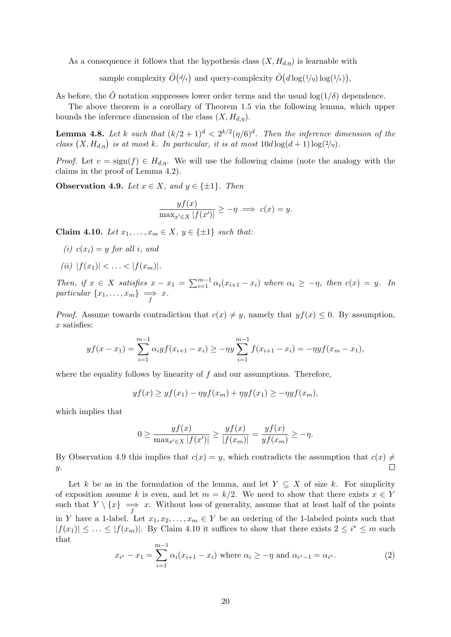As a consequence it follows that the hypothesis class  $(X, H_{d,\eta})$  is learnable with

sample complexity  $\tilde{O}(d/\epsilon)$  and query-complexity  $\tilde{O}(d \log(1/\eta) \log(1/\epsilon)),$ 

As before, the  $\tilde{O}$  notation suppresses lower order terms and the usual  $\log(1/\delta)$  dependence.

The above theorem is a corollary of Theorem [1.5](#page-6-0) via the following lemma, which upper bounds the inference dimension of the class  $(X, H_{d,n})$ .

**Lemma 4.8.** Let k such that  $(k/2+1)^d < 2^{k/2}(\eta/6)^d$ . Then the inference dimension of the class  $(X, H_{d,\eta})$  is at most k. In particular, it is at most  $10d \log(d+1) \log(2/\eta)$ .

*Proof.* Let  $c = \text{sign}(f) \in H_{d,\eta}$ . We will use the following claims (note the analogy with the claims in the proof of Lemma [4.2\)](#page-17-1).

<span id="page-19-0"></span>Observation 4.9. Let  $x \in X$ , and  $y \in \{\pm 1\}$ . Then

$$
\frac{yf(x)}{\max_{x' \in X} |f(x')|} \ge -\eta \implies c(x) = y.
$$

<span id="page-19-1"></span>Claim 4.10. Let  $x_1, \ldots, x_m \in X$ ,  $y \in \{\pm 1\}$  such that:

- (i)  $c(x_i) = y$  for all i, and
- (ii)  $|f(x_1)| < \ldots < |f(x_m)|$ .

Then, if  $x \in X$  satisfies  $x - x_1 = \sum_{i=1}^{m-1} \alpha_i (x_{i+1} - x_i)$  where  $\alpha_i \geq -\eta$ , then  $c(x) = y$ . In particular  $\{x_1, \ldots, x_m\} \implies x$ .

*Proof.* Assume towards contradiction that  $c(x) \neq y$ , namely that  $yf(x) \leq 0$ . By assumption,  $x$  satisfies:

$$
yf(x-x_1)=\sum_{i=1}^{m-1}\alpha_i yf(x_{i+1}-x_i)\geq -\eta y\sum_{i=1}^{m-1}f(x_{i+1}-x_i)=-\eta yf(x_m-x_1),
$$

where the equality follows by linearity of  $f$  and our assumptions. Therefore,

$$
yf(x) \ge yf(x_1) - \eta yf(x_m) + \eta yf(x_1) \ge -\eta yf(x_m),
$$

which implies that

$$
0 \ge \frac{yf(x)}{\max_{x' \in X} |f(x')|} \ge \frac{yf(x)}{|f(x_m)|} = \frac{yf(x)}{yf(x_m)} \ge -\eta.
$$

By Observation [4.9](#page-19-0) this implies that  $c(x) = y$ , which contradicts the assumption that  $c(x) \neq$  $\Box$  $y$ .

Let k be as in the formulation of the lemma, and let  $Y \subseteq X$  of size k. For simplicity of exposition assume k is even, and let  $m = k/2$ . We need to show that there exists  $x \in Y$ such that  $Y \setminus \{x\} \implies x$ . Without loss of generality, assume that at least half of the points in Y have a 1-label. Let  $x_1, x_2, \ldots, x_m \in Y$  be an ordering of the 1-labeled points such that  $|f(x_1)| \leq \ldots \leq |f(x_m)|$ . By Claim [4.10](#page-19-1) it suffices to show that there exists  $2 \leq i^* \leq m$  such that

<span id="page-19-2"></span>
$$
x_{i^*} - x_1 = \sum_{i=1}^{m-1} \alpha_i (x_{i+1} - x_i) \text{ where } \alpha_i \ge -\eta \text{ and } \alpha_{i^*-1} = \alpha_{i^*}. \tag{2}
$$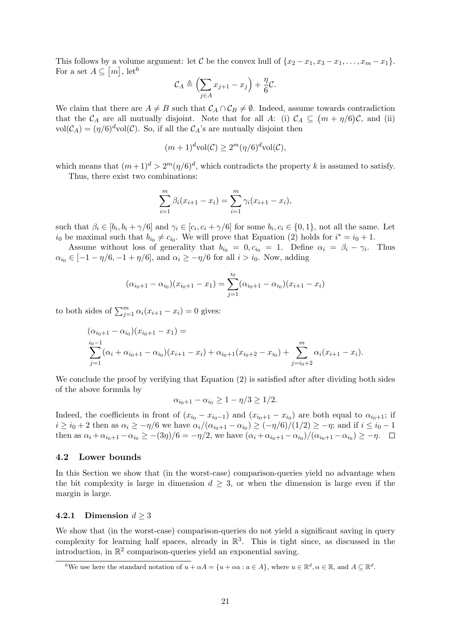This follows by a volume argument: let C be the convex hull of  $\{x_2 - x_1, x_3 - x_1, \ldots, x_m - x_1\}$ . For a set  $A \subseteq [m]$ , let<sup>[6](#page-20-2)</sup>

$$
\mathcal{C}_A \triangleq \left(\sum_{j\in A} x_{j+1} - x_j\right) + \frac{\eta}{6} \mathcal{C}.
$$

We claim that there are  $A \neq B$  such that  $\mathcal{C}_A \cap \mathcal{C}_B \neq \emptyset$ . Indeed, assume towards contradiction that the  $\mathcal{C}_A$  are all mutually disjoint. Note that for all A: (i)  $\mathcal{C}_A \subseteq (m + \eta/6)\mathcal{C}$ , and (ii)  $vol(\mathcal{C}_A) = (\eta/6)^d vol(\mathcal{C})$ . So, if all the  $\mathcal{C}_A$ 's are mutually disjoint then

$$
(m+1)^{d}\mathrm{vol}(\mathcal{C}) \ge 2^{m}(\eta/6)^{d}\mathrm{vol}(\mathcal{C}),
$$

which means that  $(m+1)^d > 2^m(\eta/6)^d$ , which contradicts the property k is assumed to satisfy.

Thus, there exist two combinations:

$$
\sum_{i=1}^{m} \beta_i (x_{i+1} - x_i) = \sum_{i=1}^{m} \gamma_i (x_{i+1} - x_i),
$$

such that  $\beta_i \in [b_i, b_i + \gamma/6]$  and  $\gamma_i \in [c_i, c_i + \gamma/6]$  for some  $b_i, c_i \in \{0, 1\}$ , not all the same. Let  $i_0$  be maximal such that  $b_{i_0} \neq c_{i_0}$ . We will prove that Equation [\(2\)](#page-19-2) holds for  $i^* = i_0 + 1$ .

Assume without loss of generality that  $b_{i_0} = 0, c_{i_0} = 1$ . Define  $\alpha_i = \beta_i - \gamma_i$ . Thus  $\alpha_{i_0} \in [-1 - \eta/6, -1 + \eta/6]$ , and  $\alpha_i \ge -\eta/6$  for all  $i > i_0$ . Now, adding

$$
(\alpha_{i_0+1} - \alpha_{i_0})(x_{i_0+1} - x_1) = \sum_{j=1}^{i_0} (\alpha_{i_0+1} - \alpha_{i_0})(x_{i+1} - x_i)
$$

to both sides of  $\sum_{j=1}^{m} \alpha_i (x_{i+1} - x_i) = 0$  gives:

$$
(\alpha_{i_0+1} - \alpha_{i_0})(x_{i_0+1} - x_1) =
$$
  
\n
$$
\sum_{j=1}^{i_0-1} (\alpha_i + \alpha_{i_0+1} - \alpha_{i_0})(x_{i+1} - x_i) + \alpha_{i_0+1}(x_{i_0+2} - x_{i_0}) + \sum_{j=i_0+2}^{m} \alpha_j (x_{i+1} - x_i).
$$

We conclude the proof by verifying that Equation [\(2\)](#page-19-2) is satisfied after after dividing both sides of the above formula by

$$
\alpha_{i_0+1} - \alpha_{i_0} \ge 1 - \eta/3 \ge 1/2.
$$

Indeed, the coefficients in front of  $(x_{i_0} - x_{i_0-1})$  and  $(x_{i_0+1} - x_{i_0})$  are both equal to  $\alpha_{i_0+1}$ ; if  $i \ge i_0 + 2$  then as  $\alpha_i \ge -\eta/6$  we have  $\alpha_i/(\alpha_{i_0+1} - \alpha_{i_0}) \ge (-\eta/6)/(1/2) \ge -\eta$ ; and if  $i \le i_0 - 1$ then as  $\alpha_i + \alpha_{i_0+1} - \alpha_{i_0} \geq -(3\eta)/6 = -\eta/2$ , we have  $(\alpha_i + \alpha_{i_0+1} - \alpha_{i_0})/(\alpha_{i_0+1} - \alpha_{i_0}) \geq -\eta$ .

### <span id="page-20-1"></span>4.2 Lower bounds

In this Section we show that (in the worst-case) comparison-queries yield no advantage when the bit complexity is large in dimension  $d \geq 3$ , or when the dimension is large even if the margin is large.

### 4.2.1 Dimension  $d \geq 3$

We show that (in the worst-case) comparison-queries do not yield a significant saving in query complexity for learning half spaces, already in  $\mathbb{R}^3$ . This is tight since, as discussed in the introduction, in  $\mathbb{R}^2$  comparison-queries yield an exponential saving.

<span id="page-20-2"></span><span id="page-20-0"></span><sup>&</sup>lt;sup>6</sup>We use here the standard notation of  $u + \alpha A = \{u + \alpha a : a \in A\}$ , where  $u \in \mathbb{R}^d$ ,  $\alpha \in \mathbb{R}$ , and  $A \subseteq \mathbb{R}^d$ .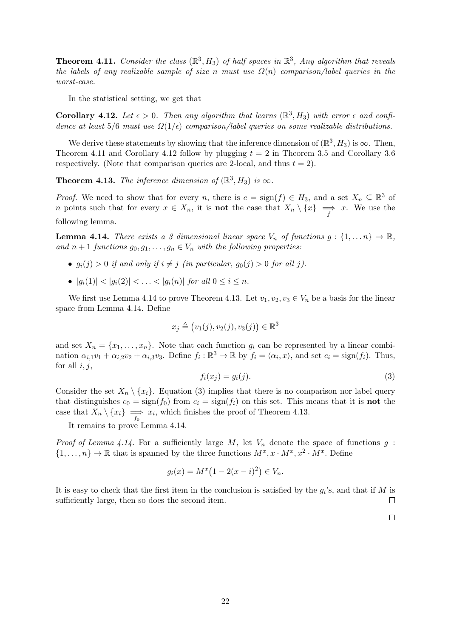**Theorem 4.11.** Consider the class  $(\mathbb{R}^3, H_3)$  of half spaces in  $\mathbb{R}^3$ , Any algorithm that reveals the labels of any realizable sample of size n must use  $\Omega(n)$  comparison/label queries in the worst-case.

In the statistical setting, we get that

<span id="page-21-0"></span>**Corollary 4.12.** Let  $\epsilon > 0$ . Then any algorithm that learns  $(\mathbb{R}^3, H_3)$  with error  $\epsilon$  and confidence at least  $5/6$  must use  $\Omega(1/\epsilon)$  comparison/label queries on some realizable distributions.

We derive these statements by showing that the inference dimension of  $(\mathbb{R}^3, H_3)$  is  $\infty$ . Then, Theorem [4.11](#page-20-0) and Corollary [4.12](#page-21-0) follow by plugging  $t = 2$  in Theorem [3.5](#page-15-0) and Corollary [3.6](#page-16-3) respectively. (Note that comparison queries are 2-local, and thus  $t = 2$ ).

<span id="page-21-2"></span>**Theorem 4.13.** The inference dimension of  $(\mathbb{R}^3, H_3)$  is  $\infty$ .

*Proof.* We need to show that for every n, there is  $c = \text{sign}(f) \in H_3$ , and a set  $X_n \subseteq \mathbb{R}^3$  of n points such that for every  $x \in X_n$ , it is **not** the case that  $X_n \setminus \{x\} \implies x$ . We use the following lemma.

<span id="page-21-1"></span>**Lemma 4.14.** There exists a 3 dimensional linear space  $V_n$  of functions  $g: \{1, \ldots n\} \to \mathbb{R}$ , and  $n+1$  functions  $g_0, g_1, \ldots, g_n \in V_n$  with the following properties:

- $g_i(j) > 0$  if and only if  $i \neq j$  (in particular,  $g_0(j) > 0$  for all j).
- $|g_i(1)| < |g_i(2)| < \ldots < |g_i(n)|$  for all  $0 \le i \le n$ .

We first use Lemma [4.14](#page-21-1) to prove Theorem [4.13.](#page-21-2) Let  $v_1, v_2, v_3 \in V_n$  be a basis for the linear space from Lemma [4.14.](#page-21-1) Define

$$
x_j \triangleq (v_1(j), v_2(j), v_3(j)) \in \mathbb{R}^3
$$

<span id="page-21-3"></span>and set  $X_n = \{x_1, \ldots, x_n\}$ . Note that each function  $g_i$  can be represented by a linear combination  $\alpha_{i,1}v_1 + \alpha_{i,2}v_2 + \alpha_{i,3}v_3$ . Define  $f_i : \mathbb{R}^3 \to \mathbb{R}$  by  $f_i = \langle \alpha_i, x \rangle$ , and set  $c_i = \text{sign}(f_i)$ . Thus, for all  $i, j$ ,

$$
f_i(x_j) = g_i(j). \tag{3}
$$

Consider the set  $X_n \setminus \{x_i\}$ . Equation [\(3\)](#page-21-3) implies that there is no comparison nor label query that distinguishes  $c_0 = \text{sign}(f_0)$  from  $c_i = \text{sign}(f_i)$  on this set. This means that it is **not** the case that  $X_n \setminus \{x_i\} \implies x_i$ , which finishes the proof of Theorem [4.13.](#page-21-2)

It remains to prove Lemma [4.14.](#page-21-1)

*Proof of Lemma [4.14.](#page-21-1)* For a sufficiently large M, let  $V_n$  denote the space of functions  $g$ :  $\{1,\ldots,n\}\to\mathbb{R}$  that is spanned by the three functions  $M^x, x \cdot M^x, x^2 \cdot M^x$ . Define

$$
g_i(x) = M^x \left( 1 - 2(x - i)^2 \right) \in V_n.
$$

It is easy to check that the first item in the conclusion is satisfied by the  $g_i$ 's, and that if M is sufficiently large, then so does the second item.  $\Box$ 

 $\Box$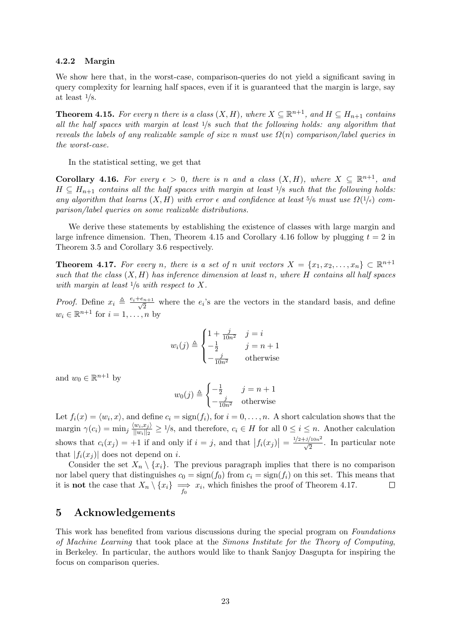### 4.2.2 Margin

We show here that, in the worst-case, comparison-queries do not yield a significant saving in query complexity for learning half spaces, even if it is guaranteed that the margin is large, say at least 1/8.

<span id="page-22-1"></span>**Theorem 4.15.** For every n there is a class  $(X, H)$ , where  $X \subseteq \mathbb{R}^{n+1}$ , and  $H \subseteq H_{n+1}$  contains all the half spaces with margin at least  $\frac{1}{8}$  such that the following holds: any algorithm that reveals the labels of any realizable sample of size n must use  $\Omega(n)$  comparison/label queries in the worst-case.

In the statistical setting, we get that

<span id="page-22-2"></span>**Corollary 4.16.** For every  $\epsilon > 0$ , there is n and a class  $(X, H)$ , where  $X \subseteq \mathbb{R}^{n+1}$ , and  $H \subseteq H_{n+1}$  contains all the half spaces with margin at least  $1/8$  such that the following holds: any algorithm that learns  $(X, H)$  with error  $\epsilon$  and confidence at least 5/6 must use  $\Omega(1/\epsilon)$  comparison/label queries on some realizable distributions.

We derive these statements by establishing the existence of classes with large margin and large infrence dimension. Then, Theorem [4.15](#page-22-1) and Corollary [4.16](#page-22-2) follow by plugging  $t = 2$  in Theorem [3.5](#page-15-0) and Corollary [3.6](#page-16-3) respectively.

<span id="page-22-0"></span>**Theorem 4.17.** For every n, there is a set of n unit vectors  $X = \{x_1, x_2, \ldots, x_n\} \subset \mathbb{R}^{n+1}$ such that the class  $(X, H)$  has inference dimension at least n, where H contains all half spaces with margin at least  $1/6$  with respect to X.

*Proof.* Define  $x_i \triangleq \frac{e_i+e_{n+1}}{\sqrt{2}}$  $\frac{n+1}{2}$  where the  $e_i$ 's are the vectors in the standard basis, and define  $w_i \in \mathbb{R}^{n+1}$  for  $i = 1, \ldots, n$  by

$$
w_i(j) \triangleq \begin{cases} 1 + \frac{j}{10n^2} & j = i \\ -\frac{1}{2} & j = n+1 \\ -\frac{j}{10n^2} & \text{otherwise} \end{cases}
$$

and  $w_0 \in \mathbb{R}^{n+1}$  by

$$
w_0(j) \triangleq \begin{cases} -\frac{1}{2} & j = n+1\\ -\frac{j}{10n^2} & \text{otherwise} \end{cases}
$$

Let  $f_i(x) = \langle w_i, x \rangle$ , and define  $c_i = \text{sign}(f_i)$ , for  $i = 0, \ldots, n$ . A short calculation shows that the margin  $\gamma(c_i) = \min_j \frac{\langle w_i, x_j \rangle}{\|w_i\|_{2}}$  $\frac{\langle w_i, x_j \rangle}{\|w_i\|_2} \geq 1/8$ , and therefore,  $c_i \in H$  for all  $0 \leq i \leq n$ . Another calculation shows that  $c_i(x_j) = +1$  if and only if  $i = j$ , and that  $|f_i(x_j)| = \frac{1/2 + j/10n^2}{\sqrt{2}}$ . In particular note that  $|f_i(x_i)|$  does not depend on i.

Consider the set  $X_n \setminus \{x_i\}$ . The previous paragraph implies that there is no comparison nor label query that distinguishes  $c_0 = \text{sign}(f_0)$  from  $c_i = \text{sign}(f_i)$  on this set. This means that it is **not** the case that  $X_n \setminus \{x_i\} \implies x_i$ , which finishes the proof of Theorem [4.17.](#page-22-0) □

### 5 Acknowledgements

This work has benefited from various discussions during the special program on Foundations of Machine Learning that took place at the Simons Institute for the Theory of Computing, in Berkeley. In particular, the authors would like to thank Sanjoy Dasgupta for inspiring the focus on comparison queries.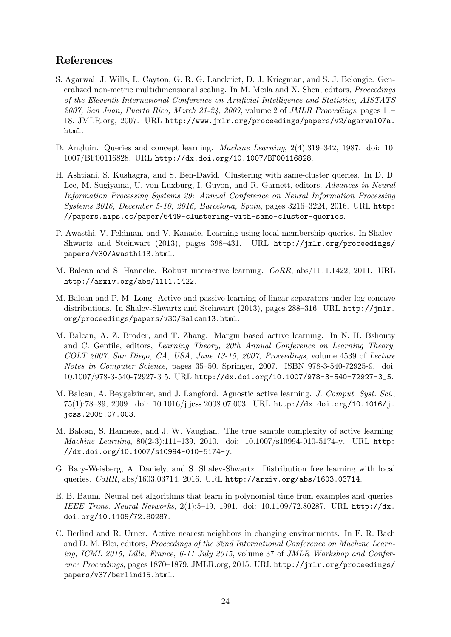# References

- <span id="page-23-9"></span>S. Agarwal, J. Wills, L. Cayton, G. R. G. Lanckriet, D. J. Kriegman, and S. J. Belongie. Generalized non-metric multidimensional scaling. In M. Meila and X. Shen, editors, Proceedings of the Eleventh International Conference on Artificial Intelligence and Statistics, AISTATS 2007, San Juan, Puerto Rico, March 21-24, 2007, volume 2 of JMLR Proceedings, pages 11– 18. JMLR.org, 2007. URL [http://www.jmlr.org/proceedings/papers/v2/agarwal07a.](http://www.jmlr.org/proceedings/papers/v2/agarwal07a.html) [html](http://www.jmlr.org/proceedings/papers/v2/agarwal07a.html).
- <span id="page-23-6"></span>D. Angluin. Queries and concept learning. Machine Learning, 2(4):319–342, 1987. doi: 10. 1007/BF00116828. URL <http://dx.doi.org/10.1007/BF00116828>.
- <span id="page-23-8"></span>H. Ashtiani, S. Kushagra, and S. Ben-David. Clustering with same-cluster queries. In D. D. Lee, M. Sugiyama, U. von Luxburg, I. Guyon, and R. Garnett, editors, Advances in Neural Information Processing Systems 29: Annual Conference on Neural Information Processing Systems 2016, December 5-10, 2016, Barcelona, Spain, pages 3216–3224, 2016. URL [http:](http://papers.nips.cc/paper/6449-clustering-with-same-cluster-queries) [//papers.nips.cc/paper/6449-clustering-with-same-cluster-queries](http://papers.nips.cc/paper/6449-clustering-with-same-cluster-queries).
- <span id="page-23-10"></span>P. Awasthi, V. Feldman, and V. Kanade. Learning using local membership queries. In [Shalev-](#page-26-11)[Shwartz and Steinwart](#page-26-11) [\(2013\)](#page-26-11), pages 398–431. URL [http://jmlr.org/proceedings/](http://jmlr.org/proceedings/papers/v30/Awasthi13.html) [papers/v30/Awasthi13.html](http://jmlr.org/proceedings/papers/v30/Awasthi13.html).
- <span id="page-23-3"></span>M. Balcan and S. Hanneke. Robust interactive learning. CoRR, abs/1111.1422, 2011. URL <http://arxiv.org/abs/1111.1422>.
- <span id="page-23-4"></span>M. Balcan and P. M. Long. Active and passive learning of linear separators under log-concave distributions. In [Shalev-Shwartz and Steinwart](#page-26-11) [\(2013\)](#page-26-11), pages 288–316. URL [http://jmlr.](http://jmlr.org/proceedings/papers/v30/Balcan13.html) [org/proceedings/papers/v30/Balcan13.html](http://jmlr.org/proceedings/papers/v30/Balcan13.html).
- <span id="page-23-0"></span>M. Balcan, A. Z. Broder, and T. Zhang. Margin based active learning. In N. H. Bshouty and C. Gentile, editors, Learning Theory, 20th Annual Conference on Learning Theory, COLT 2007, San Diego, CA, USA, June 13-15, 2007, Proceedings, volume 4539 of Lecture Notes in Computer Science, pages 35–50. Springer, 2007. ISBN 978-3-540-72925-9. doi: 10.1007/978-3-540-72927-3 5. URL [http://dx.doi.org/10.1007/978-3-540-72927-3\\_5](http://dx.doi.org/10.1007/978-3-540-72927-3_5).
- <span id="page-23-1"></span>M. Balcan, A. Beygelzimer, and J. Langford. Agnostic active learning. J. Comput. Syst. Sci., 75(1):78–89, 2009. doi: 10.1016/j.jcss.2008.07.003. URL [http://dx.doi.org/10.1016/j.](http://dx.doi.org/10.1016/j.jcss.2008.07.003) [jcss.2008.07.003](http://dx.doi.org/10.1016/j.jcss.2008.07.003).
- <span id="page-23-2"></span>M. Balcan, S. Hanneke, and J. W. Vaughan. The true sample complexity of active learning. Machine Learning, 80(2-3):111–139, 2010. doi: 10.1007/s10994-010-5174-y. URL [http:](http://dx.doi.org/10.1007/s10994-010-5174-y) [//dx.doi.org/10.1007/s10994-010-5174-y](http://dx.doi.org/10.1007/s10994-010-5174-y).
- <span id="page-23-11"></span>G. Bary-Weisberg, A. Daniely, and S. Shalev-Shwartz. Distribution free learning with local queries. CoRR, abs/1603.03714, 2016. URL <http://arxiv.org/abs/1603.03714>.
- <span id="page-23-7"></span>E. B. Baum. Neural net algorithms that learn in polynomial time from examples and queries. IEEE Trans. Neural Networks, 2(1):5–19, 1991. doi: 10.1109/72.80287. URL [http://dx.](http://dx.doi.org/10.1109/72.80287) [doi.org/10.1109/72.80287](http://dx.doi.org/10.1109/72.80287).
- <span id="page-23-5"></span>C. Berlind and R. Urner. Active nearest neighbors in changing environments. In F. R. Bach and D. M. Blei, editors, Proceedings of the 32nd International Conference on Machine Learning, ICML 2015, Lille, France, 6-11 July 2015, volume 37 of JMLR Workshop and Conference Proceedings, pages 1870–1879. JMLR.org, 2015. URL [http://jmlr.org/proceedings/](http://jmlr.org/proceedings/papers/v37/berlind15.html) [papers/v37/berlind15.html](http://jmlr.org/proceedings/papers/v37/berlind15.html).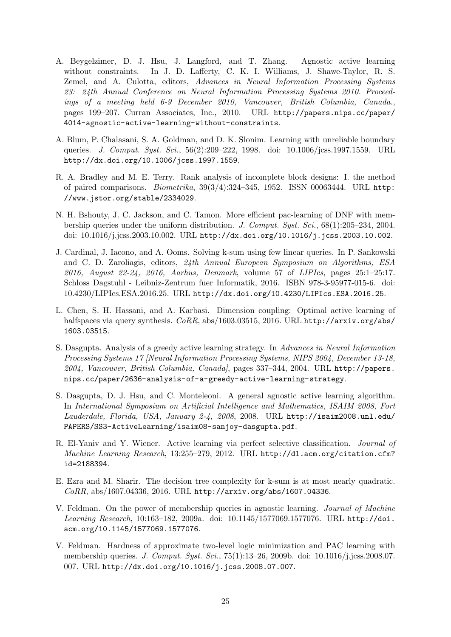- <span id="page-24-2"></span>A. Beygelzimer, D. J. Hsu, J. Langford, and T. Zhang. Agnostic active learning without constraints. In J. D. Lafferty, C. K. I. Williams, J. Shawe-Taylor, R. S. Zemel, and A. Culotta, editors, Advances in Neural Information Processing Systems 23: 24th Annual Conference on Neural Information Processing Systems 2010. Proceedings of a meeting held 6-9 December 2010, Vancouver, British Columbia, Canada., pages 199–207. Curran Associates, Inc., 2010. URL [http://papers.nips.cc/paper/](http://papers.nips.cc/paper/4014-agnostic-active-learning-without-constraints) [4014-agnostic-active-learning-without-constraints](http://papers.nips.cc/paper/4014-agnostic-active-learning-without-constraints).
- <span id="page-24-4"></span>A. Blum, P. Chalasani, S. A. Goldman, and D. K. Slonim. Learning with unreliable boundary queries. *J. Comput. Syst. Sci.*, 56(2):209–222, 1998. doi: 10.1006/jcss.1997.1559. URL <http://dx.doi.org/10.1006/jcss.1997.1559>.
- <span id="page-24-11"></span>R. A. Bradley and M. E. Terry. Rank analysis of incomplete block designs: I. the method of paired comparisons. Biometrika, 39(3/4):324–345, 1952. ISSN 00063444. URL [http:](http://www.jstor.org/stable/2334029) [//www.jstor.org/stable/2334029](http://www.jstor.org/stable/2334029).
- <span id="page-24-5"></span>N. H. Bshouty, J. C. Jackson, and C. Tamon. More efficient pac-learning of DNF with membership queries under the uniform distribution. J. Comput. Syst. Sci., 68(1):205–234, 2004. doi: 10.1016/j.jcss.2003.10.002. URL <http://dx.doi.org/10.1016/j.jcss.2003.10.002>.
- <span id="page-24-9"></span>J. Cardinal, J. Iacono, and A. Ooms. Solving k-sum using few linear queries. In P. Sankowski and C. D. Zaroliagis, editors, 24th Annual European Symposium on Algorithms, ESA 2016, August 22-24, 2016, Aarhus, Denmark, volume 57 of LIPIcs, pages 25:1–25:17. Schloss Dagstuhl - Leibniz-Zentrum fuer Informatik, 2016. ISBN 978-3-95977-015-6. doi: 10.4230/LIPIcs.ESA.2016.25. URL <http://dx.doi.org/10.4230/LIPIcs.ESA.2016.25>.
- <span id="page-24-8"></span>L. Chen, S. H. Hassani, and A. Karbasi. Dimension coupling: Optimal active learning of halfspaces via query synthesis. CoRR, abs/1603.03515, 2016. URL [http://arxiv.org/abs/](http://arxiv.org/abs/1603.03515) [1603.03515](http://arxiv.org/abs/1603.03515).
- <span id="page-24-0"></span>S. Dasgupta. Analysis of a greedy active learning strategy. In Advances in Neural Information Processing Systems 17 [Neural Information Processing Systems, NIPS 2004, December 13-18, 2004, Vancouver, British Columbia, Canada], pages 337–344, 2004. URL [http://papers.](http://papers.nips.cc/paper/2636-analysis-of-a-greedy-active-learning-strategy) [nips.cc/paper/2636-analysis-of-a-greedy-active-learning-strategy](http://papers.nips.cc/paper/2636-analysis-of-a-greedy-active-learning-strategy).
- <span id="page-24-1"></span>S. Dasgupta, D. J. Hsu, and C. Monteleoni. A general agnostic active learning algorithm. In International Symposium on Artificial Intelligence and Mathematics, ISAIM 2008, Fort Lauderdale, Florida, USA, January 2-4, 2008, 2008. URL [http://isaim2008.unl.edu/](http://isaim2008.unl.edu/PAPERS/SS3-ActiveLearning/isaim08-sanjoy-dasgupta.pdf) [PAPERS/SS3-ActiveLearning/isaim08-sanjoy-dasgupta.pdf](http://isaim2008.unl.edu/PAPERS/SS3-ActiveLearning/isaim08-sanjoy-dasgupta.pdf).
- <span id="page-24-3"></span>R. El-Yaniv and Y. Wiener. Active learning via perfect selective classification. Journal of Machine Learning Research, 13:255–279, 2012. URL [http://dl.acm.org/citation.cfm?](http://dl.acm.org/citation.cfm?id=2188394) [id=2188394](http://dl.acm.org/citation.cfm?id=2188394).
- <span id="page-24-10"></span>E. Ezra and M. Sharir. The decision tree complexity for k-sum is at most nearly quadratic. CoRR, abs/1607.04336, 2016. URL <http://arxiv.org/abs/1607.04336>.
- <span id="page-24-6"></span>V. Feldman. On the power of membership queries in agnostic learning. Journal of Machine Learning Research, 10:163–182, 2009a. doi: 10.1145/1577069.1577076. URL [http://doi.](http://doi.acm.org/10.1145/1577069.1577076) [acm.org/10.1145/1577069.1577076](http://doi.acm.org/10.1145/1577069.1577076).
- <span id="page-24-7"></span>V. Feldman. Hardness of approximate two-level logic minimization and PAC learning with membership queries. J. Comput. Syst. Sci., 75(1):13–26, 2009b. doi: 10.1016/j.jcss.2008.07. 007. URL <http://dx.doi.org/10.1016/j.jcss.2008.07.007>.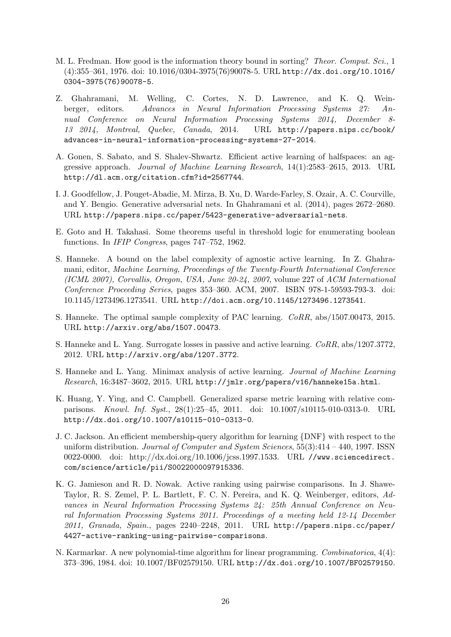- <span id="page-25-11"></span>M. L. Fredman. How good is the information theory bound in sorting? Theor. Comput. Sci., 1 (4):355–361, 1976. doi: 10.1016/0304-3975(76)90078-5. URL [http://dx.doi.org/10.1016/](http://dx.doi.org/10.1016/0304-3975(76)90078-5) [0304-3975\(76\)90078-5](http://dx.doi.org/10.1016/0304-3975(76)90078-5).
- <span id="page-25-12"></span>Z. Ghahramani, M. Welling, C. Cortes, N. D. Lawrence, and K. Q. Weinberger, editors. Advances in Neural Information Processing Systems 27: Annual Conference on Neural Information Processing Systems 2014, December 8- 13 2014, Montreal, Quebec, Canada, 2014. URL [http://papers.nips.cc/book/](http://papers.nips.cc/book/advances-in-neural-information-processing-systems-27-2014) [advances-in-neural-information-processing-systems-27-2014](http://papers.nips.cc/book/advances-in-neural-information-processing-systems-27-2014).
- <span id="page-25-2"></span>A. Gonen, S. Sabato, and S. Shalev-Shwartz. Efficient active learning of halfspaces: an aggressive approach. Journal of Machine Learning Research, 14(1):2583–2615, 2013. URL <http://dl.acm.org/citation.cfm?id=2567744>.
- <span id="page-25-9"></span>I. J. Goodfellow, J. Pouget-Abadie, M. Mirza, B. Xu, D. Warde-Farley, S. Ozair, A. C. Courville, and Y. Bengio. Generative adversarial nets. In [Ghahramani et al.](#page-25-12) [\(2014\)](#page-25-12), pages 2672–2680. URL <http://papers.nips.cc/paper/5423-generative-adversarial-nets>.
- <span id="page-25-10"></span>E. Goto and H. Takahasi. Some theorems useful in threshold logic for enumerating boolean functions. In IFIP Congress, pages 747–752, 1962.
- <span id="page-25-0"></span>S. Hanneke. A bound on the label complexity of agnostic active learning. In Z. Ghahramani, editor, Machine Learning, Proceedings of the Twenty-Fourth International Conference (ICML 2007), Corvallis, Oregon, USA, June 20-24, 2007, volume 227 of ACM International Conference Proceeding Series, pages 353–360. ACM, 2007. ISBN 978-1-59593-793-3. doi: 10.1145/1273496.1273541. URL <http://doi.acm.org/10.1145/1273496.1273541>.
- <span id="page-25-5"></span>S. Hanneke. The optimal sample complexity of PAC learning. CoRR, abs/1507.00473, 2015. URL <http://arxiv.org/abs/1507.00473>.
- <span id="page-25-1"></span>S. Hanneke and L. Yang. Surrogate losses in passive and active learning. CoRR, abs/1207.3772, 2012. URL <http://arxiv.org/abs/1207.3772>.
- <span id="page-25-4"></span>S. Hanneke and L. Yang. Minimax analysis of active learning. Journal of Machine Learning Research, 16:3487–3602, 2015. URL <http://jmlr.org/papers/v16/hanneke15a.html>.
- <span id="page-25-8"></span>K. Huang, Y. Ying, and C. Campbell. Generalized sparse metric learning with relative comparisons. Knowl. Inf. Syst., 28(1):25–45, 2011. doi: 10.1007/s10115-010-0313-0. URL <http://dx.doi.org/10.1007/s10115-010-0313-0>.
- <span id="page-25-6"></span>J. C. Jackson. An efficient membership-query algorithm for learning {DNF} with respect to the uniform distribution. Journal of Computer and System Sciences,  $55(3):414 - 440$ , 1997. ISSN 0022-0000. doi: http://dx.doi.org/10.1006/jcss.1997.1533. URL [//www.sciencedirect.](//www.sciencedirect.com/science/article/pii/S0022000097915336) [com/science/article/pii/S0022000097915336](//www.sciencedirect.com/science/article/pii/S0022000097915336).
- <span id="page-25-7"></span>K. G. Jamieson and R. D. Nowak. Active ranking using pairwise comparisons. In J. Shawe-Taylor, R. S. Zemel, P. L. Bartlett, F. C. N. Pereira, and K. Q. Weinberger, editors, Advances in Neural Information Processing Systems 24: 25th Annual Conference on Neural Information Processing Systems 2011. Proceedings of a meeting held 12-14 December 2011, Granada, Spain., pages 2240–2248, 2011. URL [http://papers.nips.cc/paper/](http://papers.nips.cc/paper/4427-active-ranking-using-pairwise-comparisons) [4427-active-ranking-using-pairwise-comparisons](http://papers.nips.cc/paper/4427-active-ranking-using-pairwise-comparisons).
- <span id="page-25-3"></span>N. Karmarkar. A new polynomial-time algorithm for linear programming. Combinatorica, 4(4): 373–396, 1984. doi: 10.1007/BF02579150. URL <http://dx.doi.org/10.1007/BF02579150>.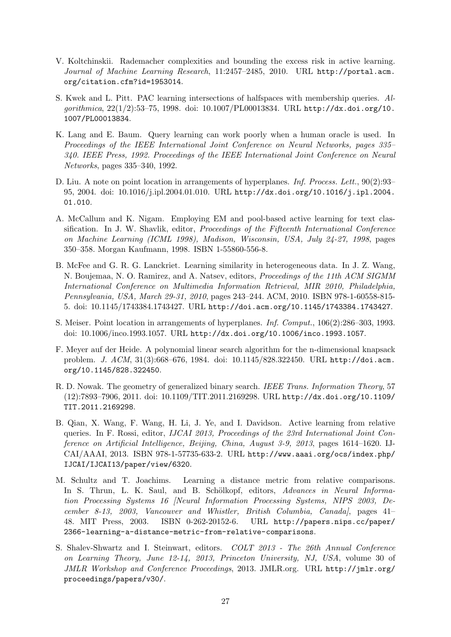- <span id="page-26-1"></span>V. Koltchinskii. Rademacher complexities and bounding the excess risk in active learning. Journal of Machine Learning Research, 11:2457–2485, 2010. URL [http://portal.acm.](http://portal.acm.org/citation.cfm?id=1953014) [org/citation.cfm?id=1953014](http://portal.acm.org/citation.cfm?id=1953014).
- <span id="page-26-3"></span>S. Kwek and L. Pitt. PAC learning intersections of halfspaces with membership queries. Algorithmica, 22(1/2):53–75, 1998. doi: 10.1007/PL00013834. URL [http://dx.doi.org/10.](http://dx.doi.org/10.1007/PL00013834) [1007/PL00013834](http://dx.doi.org/10.1007/PL00013834).
- <span id="page-26-2"></span>K. Lang and E. Baum. Query learning can work poorly when a human oracle is used. In Proceedings of the IEEE International Joint Conference on Neural Networks, pages 335– 340. IEEE Press, 1992. Proceedings of the IEEE International Joint Conference on Neural Networks, pages 335–340, 1992.
- <span id="page-26-10"></span>D. Liu. A note on point location in arrangements of hyperplanes. *Inf. Process. Lett.*, 90(2):93– 95, 2004. doi: 10.1016/j.ipl.2004.01.010. URL [http://dx.doi.org/10.1016/j.ipl.2004.](http://dx.doi.org/10.1016/j.ipl.2004.01.010) [01.010](http://dx.doi.org/10.1016/j.ipl.2004.01.010).
- <span id="page-26-0"></span>A. McCallum and K. Nigam. Employing EM and pool-based active learning for text classification. In J. W. Shavlik, editor, Proceedings of the Fifteenth International Conference on Machine Learning (ICML 1998), Madison, Wisconsin, USA, July 24-27, 1998, pages 350–358. Morgan Kaufmann, 1998. ISBN 1-55860-556-8.
- <span id="page-26-6"></span>B. McFee and G. R. G. Lanckriet. Learning similarity in heterogeneous data. In J. Z. Wang, N. Boujemaa, N. O. Ramirez, and A. Natsev, editors, Proceedings of the 11th ACM SIGMM International Conference on Multimedia Information Retrieval, MIR 2010, Philadelphia, Pennsylvania, USA, March 29-31, 2010, pages 243–244. ACM, 2010. ISBN 978-1-60558-815- 5. doi: 10.1145/1743384.1743427. URL <http://doi.acm.org/10.1145/1743384.1743427>.
- <span id="page-26-9"></span>S. Meiser. Point location in arrangements of hyperplanes. Inf. Comput., 106(2):286–303, 1993. doi: 10.1006/inco.1993.1057. URL <http://dx.doi.org/10.1006/inco.1993.1057>.
- <span id="page-26-8"></span>F. Meyer auf der Heide. A polynomial linear search algorithm for the n-dimensional knapsack problem. J. ACM, 31(3):668–676, 1984. doi: 10.1145/828.322450. URL [http://doi.acm.](http://doi.acm.org/10.1145/828.322450) [org/10.1145/828.322450](http://doi.acm.org/10.1145/828.322450).
- <span id="page-26-4"></span>R. D. Nowak. The geometry of generalized binary search. IEEE Trans. Information Theory, 57 (12):7893–7906, 2011. doi: 10.1109/TIT.2011.2169298. URL [http://dx.doi.org/10.1109/](http://dx.doi.org/10.1109/TIT.2011.2169298) [TIT.2011.2169298](http://dx.doi.org/10.1109/TIT.2011.2169298).
- <span id="page-26-7"></span>B. Qian, X. Wang, F. Wang, H. Li, J. Ye, and I. Davidson. Active learning from relative queries. In F. Rossi, editor, IJCAI 2013, Proceedings of the 23rd International Joint Conference on Artificial Intelligence, Beijing, China, August 3-9, 2013, pages 1614–1620. IJ-CAI/AAAI, 2013. ISBN 978-1-57735-633-2. URL [http://www.aaai.org/ocs/index.php/](http://www.aaai.org/ocs/index.php/IJCAI/IJCAI13/paper/view/6320) [IJCAI/IJCAI13/paper/view/6320](http://www.aaai.org/ocs/index.php/IJCAI/IJCAI13/paper/view/6320).
- <span id="page-26-5"></span>M. Schultz and T. Joachims. Learning a distance metric from relative comparisons. In S. Thrun, L. K. Saul, and B. Schölkopf, editors, Advances in Neural Information Processing Systems 16 [Neural Information Processing Systems, NIPS 2003, December 8-13, 2003, Vancouver and Whistler, British Columbia, Canada], pages 41– 48. MIT Press, 2003. ISBN 0-262-20152-6. URL [http://papers.nips.cc/paper/](http://papers.nips.cc/paper/2366-learning-a-distance-metric-from-relative-comparisons) [2366-learning-a-distance-metric-from-relative-comparisons](http://papers.nips.cc/paper/2366-learning-a-distance-metric-from-relative-comparisons).
- <span id="page-26-11"></span>S. Shalev-Shwartz and I. Steinwart, editors. COLT 2013 - The 26th Annual Conference on Learning Theory, June 12-14, 2013, Princeton University, NJ, USA, volume 30 of JMLR Workshop and Conference Proceedings, 2013. JMLR.org. URL [http://jmlr.org/](http://jmlr.org/proceedings/papers/v30/) [proceedings/papers/v30/](http://jmlr.org/proceedings/papers/v30/).